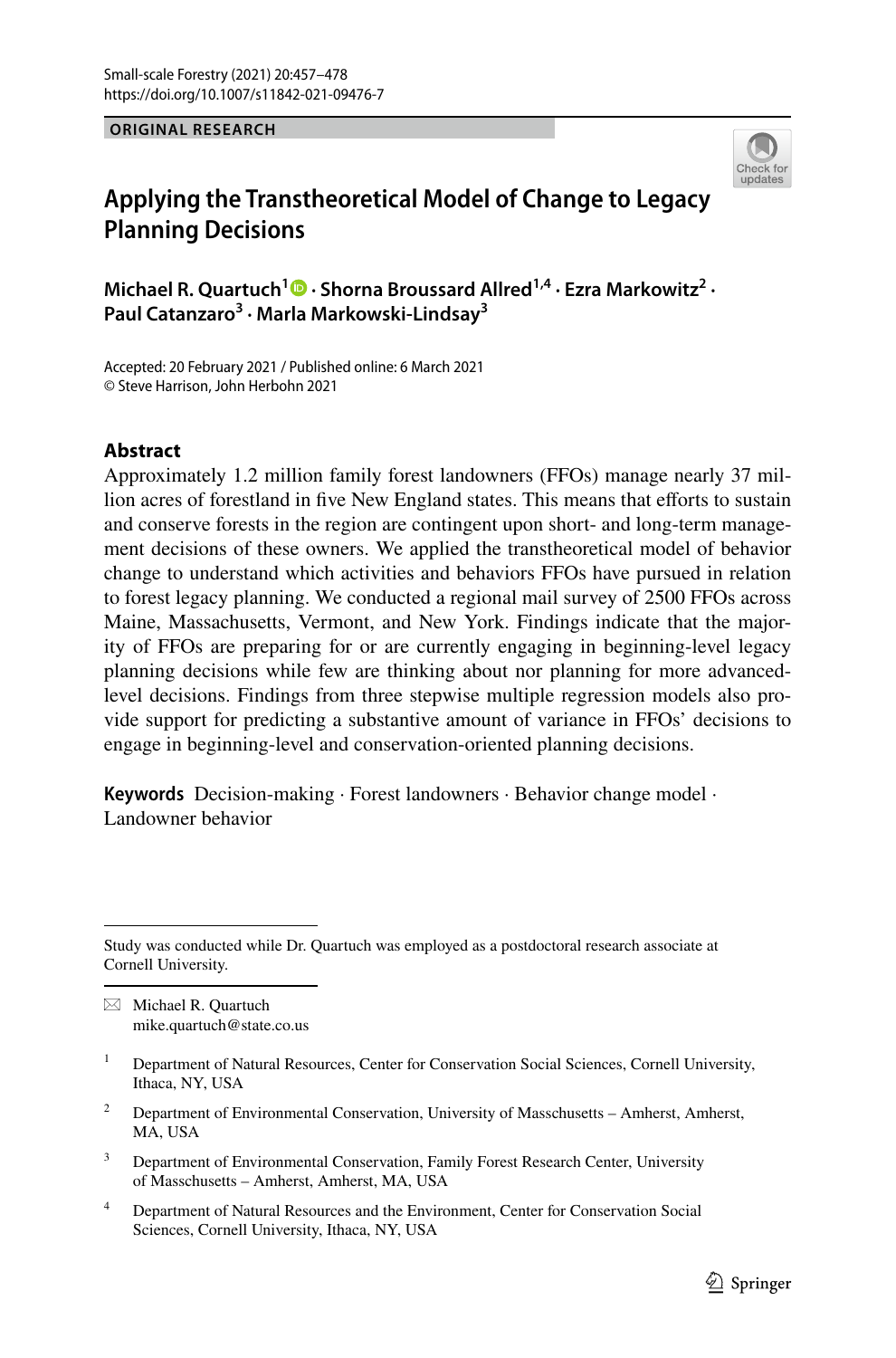**ORIGINAL RESEARCH**



# **Applying the Transtheoretical Model of Change to Legacy Planning Decisions**

**Michael R. Quartuch<sup>1</sup> • Shorna Broussard Allred<sup>1,4</sup> [·](http://orcid.org/0000-0002-1877-8334) Ezra Markowitz<sup>2</sup> · Paul Catanzaro<sup>3</sup> · Marla Markowski‑Lindsay3**

Accepted: 20 February 2021 / Published online: 6 March 2021 © Steve Harrison, John Herbohn 2021

# **Abstract**

Approximately 1.2 million family forest landowners (FFOs) manage nearly 37 million acres of forestland in five New England states. This means that efforts to sustain and conserve forests in the region are contingent upon short- and long-term management decisions of these owners. We applied the transtheoretical model of behavior change to understand which activities and behaviors FFOs have pursued in relation to forest legacy planning. We conducted a regional mail survey of 2500 FFOs across Maine, Massachusetts, Vermont, and New York. Findings indicate that the majority of FFOs are preparing for or are currently engaging in beginning-level legacy planning decisions while few are thinking about nor planning for more advancedlevel decisions. Findings from three stepwise multiple regression models also provide support for predicting a substantive amount of variance in FFOs' decisions to engage in beginning-level and conservation-oriented planning decisions.

**Keywords** Decision-making · Forest landowners · Behavior change model · Landowner behavior

 $\boxtimes$  Michael R. Quartuch mike.quartuch@state.co.us

- <sup>2</sup> Department of Environmental Conservation, University of Masschusetts Amherst, Amherst, MA, USA
- <sup>3</sup> Department of Environmental Conservation, Family Forest Research Center, University of Masschusetts – Amherst, Amherst, MA, USA
- <sup>4</sup> Department of Natural Resources and the Environment, Center for Conservation Social Sciences, Cornell University, Ithaca, NY, USA

Study was conducted while Dr. Quartuch was employed as a postdoctoral research associate at Cornell University.

<sup>&</sup>lt;sup>1</sup> Department of Natural Resources, Center for Conservation Social Sciences, Cornell University, Ithaca, NY, USA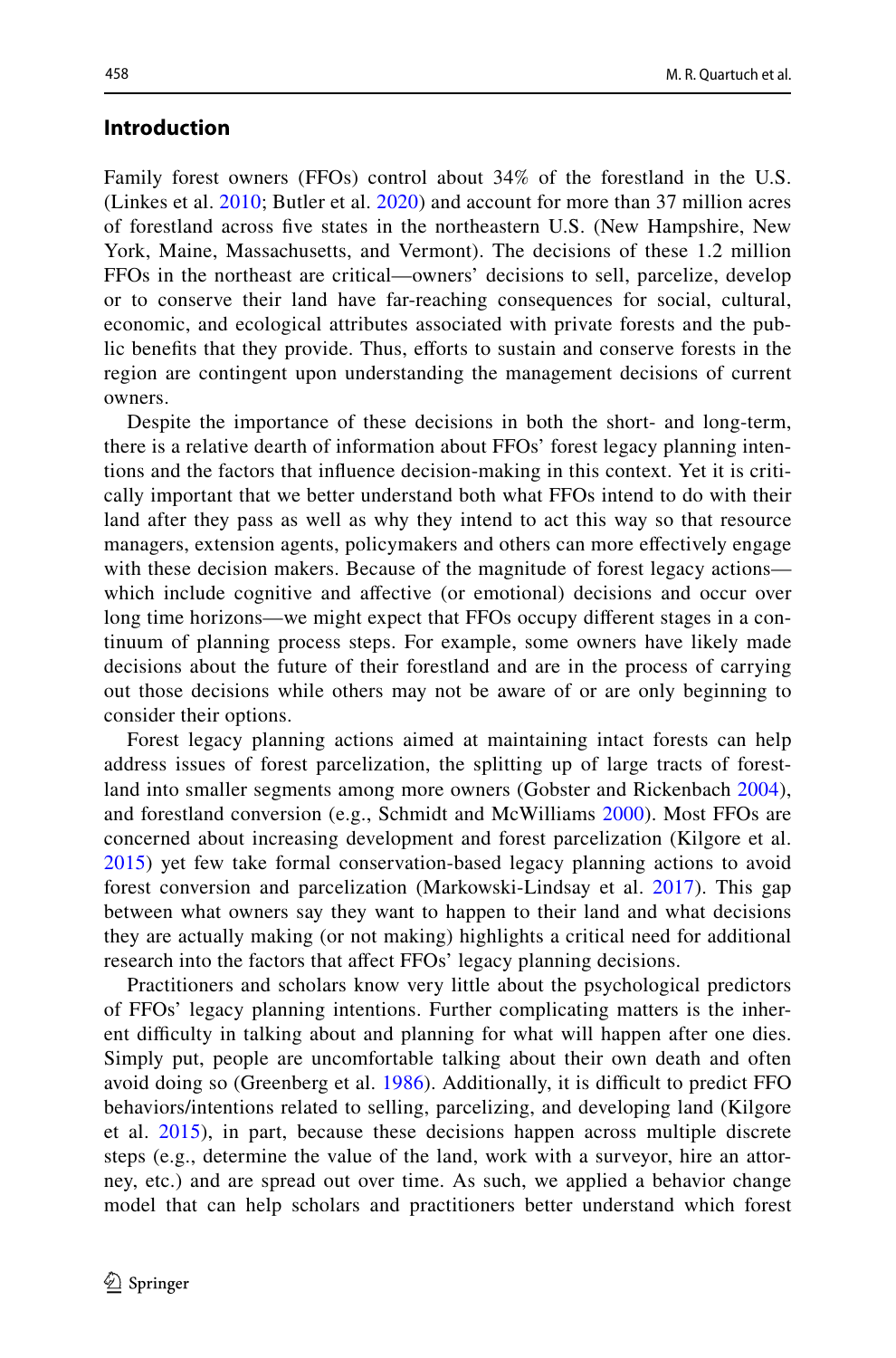# **Introduction**

Family forest owners (FFOs) control about 34% of the forestland in the U.S. (Linkes et al. [2010](#page-20-0); Butler et al. [2020](#page-19-0)) and account for more than 37 million acres of forestland across fve states in the northeastern U.S. (New Hampshire, New York, Maine, Massachusetts, and Vermont). The decisions of these 1.2 million FFOs in the northeast are critical—owners' decisions to sell, parcelize, develop or to conserve their land have far-reaching consequences for social, cultural, economic, and ecological attributes associated with private forests and the public benefits that they provide. Thus, efforts to sustain and conserve forests in the region are contingent upon understanding the management decisions of current owners.

Despite the importance of these decisions in both the short- and long-term, there is a relative dearth of information about FFOs' forest legacy planning intentions and the factors that infuence decision-making in this context. Yet it is critically important that we better understand both what FFOs intend to do with their land after they pass as well as why they intend to act this way so that resource managers, extension agents, policymakers and others can more efectively engage with these decision makers. Because of the magnitude of forest legacy actions which include cognitive and afective (or emotional) decisions and occur over long time horizons—we might expect that FFOs occupy diferent stages in a continuum of planning process steps. For example, some owners have likely made decisions about the future of their forestland and are in the process of carrying out those decisions while others may not be aware of or are only beginning to consider their options.

Forest legacy planning actions aimed at maintaining intact forests can help address issues of forest parcelization, the splitting up of large tracts of forestland into smaller segments among more owners (Gobster and Rickenbach [2004](#page-19-1)), and forestland conversion (e.g., Schmidt and McWilliams [2000](#page-21-0)). Most FFOs are concerned about increasing development and forest parcelization (Kilgore et al. [2015\)](#page-20-1) yet few take formal conservation-based legacy planning actions to avoid forest conversion and parcelization (Markowski-Lindsay et al. [2017\)](#page-20-2). This gap between what owners say they want to happen to their land and what decisions they are actually making (or not making) highlights a critical need for additional research into the factors that affect FFOs' legacy planning decisions.

Practitioners and scholars know very little about the psychological predictors of FFOs' legacy planning intentions. Further complicating matters is the inherent difficulty in talking about and planning for what will happen after one dies. Simply put, people are uncomfortable talking about their own death and often avoid doing so (Greenberg et al. [1986](#page-19-2)). Additionally, it is difficult to predict FFO behaviors/intentions related to selling, parcelizing, and developing land (Kilgore et al. [2015\)](#page-20-1), in part, because these decisions happen across multiple discrete steps (e.g., determine the value of the land, work with a surveyor, hire an attorney, etc.) and are spread out over time. As such, we applied a behavior change model that can help scholars and practitioners better understand which forest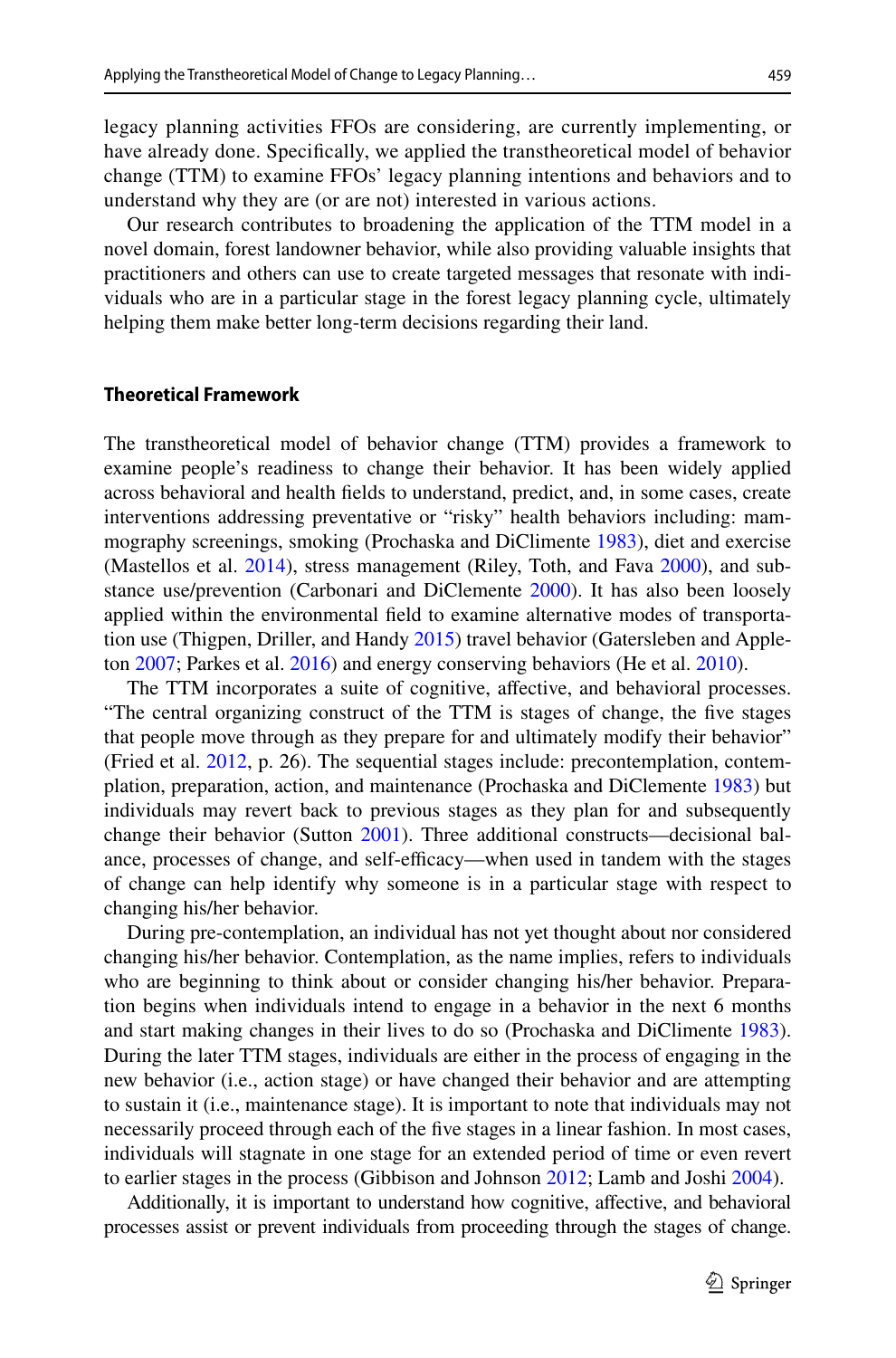legacy planning activities FFOs are considering, are currently implementing, or have already done. Specifcally, we applied the transtheoretical model of behavior change (TTM) to examine FFOs' legacy planning intentions and behaviors and to understand why they are (or are not) interested in various actions.

Our research contributes to broadening the application of the TTM model in a novel domain, forest landowner behavior, while also providing valuable insights that practitioners and others can use to create targeted messages that resonate with individuals who are in a particular stage in the forest legacy planning cycle, ultimately helping them make better long-term decisions regarding their land.

#### **Theoretical Framework**

The transtheoretical model of behavior change (TTM) provides a framework to examine people's readiness to change their behavior. It has been widely applied across behavioral and health felds to understand, predict, and, in some cases, create interventions addressing preventative or "risky" health behaviors including: mammography screenings, smoking (Prochaska and DiClimente [1983\)](#page-20-3), diet and exercise (Mastellos et al. [2014](#page-20-4)), stress management (Riley, Toth, and Fava [2000](#page-21-1)), and substance use/prevention (Carbonari and DiClemente [2000](#page-19-3)). It has also been loosely applied within the environmental feld to examine alternative modes of transportation use (Thigpen, Driller, and Handy [2015](#page-21-2)) travel behavior (Gatersleben and Appleton [2007](#page-19-4); Parkes et al. [2016](#page-20-5)) and energy conserving behaviors (He et al. [2010\)](#page-19-5).

The TTM incorporates a suite of cognitive, affective, and behavioral processes. "The central organizing construct of the TTM is stages of change, the fve stages that people move through as they prepare for and ultimately modify their behavior" (Fried et al. [2012](#page-19-6), p. 26). The sequential stages include: precontemplation, contemplation, preparation, action, and maintenance (Prochaska and DiClemente [1983\)](#page-20-3) but individuals may revert back to previous stages as they plan for and subsequently change their behavior (Sutton [2001\)](#page-21-3). Three additional constructs—decisional balance, processes of change, and self-efficacy—when used in tandem with the stages of change can help identify why someone is in a particular stage with respect to changing his/her behavior.

During pre-contemplation, an individual has not yet thought about nor considered changing his/her behavior. Contemplation, as the name implies, refers to individuals who are beginning to think about or consider changing his/her behavior. Preparation begins when individuals intend to engage in a behavior in the next 6 months and start making changes in their lives to do so (Prochaska and DiClimente [1983\)](#page-20-3). During the later TTM stages, individuals are either in the process of engaging in the new behavior (i.e., action stage) or have changed their behavior and are attempting to sustain it (i.e., maintenance stage). It is important to note that individuals may not necessarily proceed through each of the fve stages in a linear fashion. In most cases, individuals will stagnate in one stage for an extended period of time or even revert to earlier stages in the process (Gibbison and Johnson [2012](#page-19-7); Lamb and Joshi [2004](#page-20-6)).

Additionally, it is important to understand how cognitive, afective, and behavioral processes assist or prevent individuals from proceeding through the stages of change.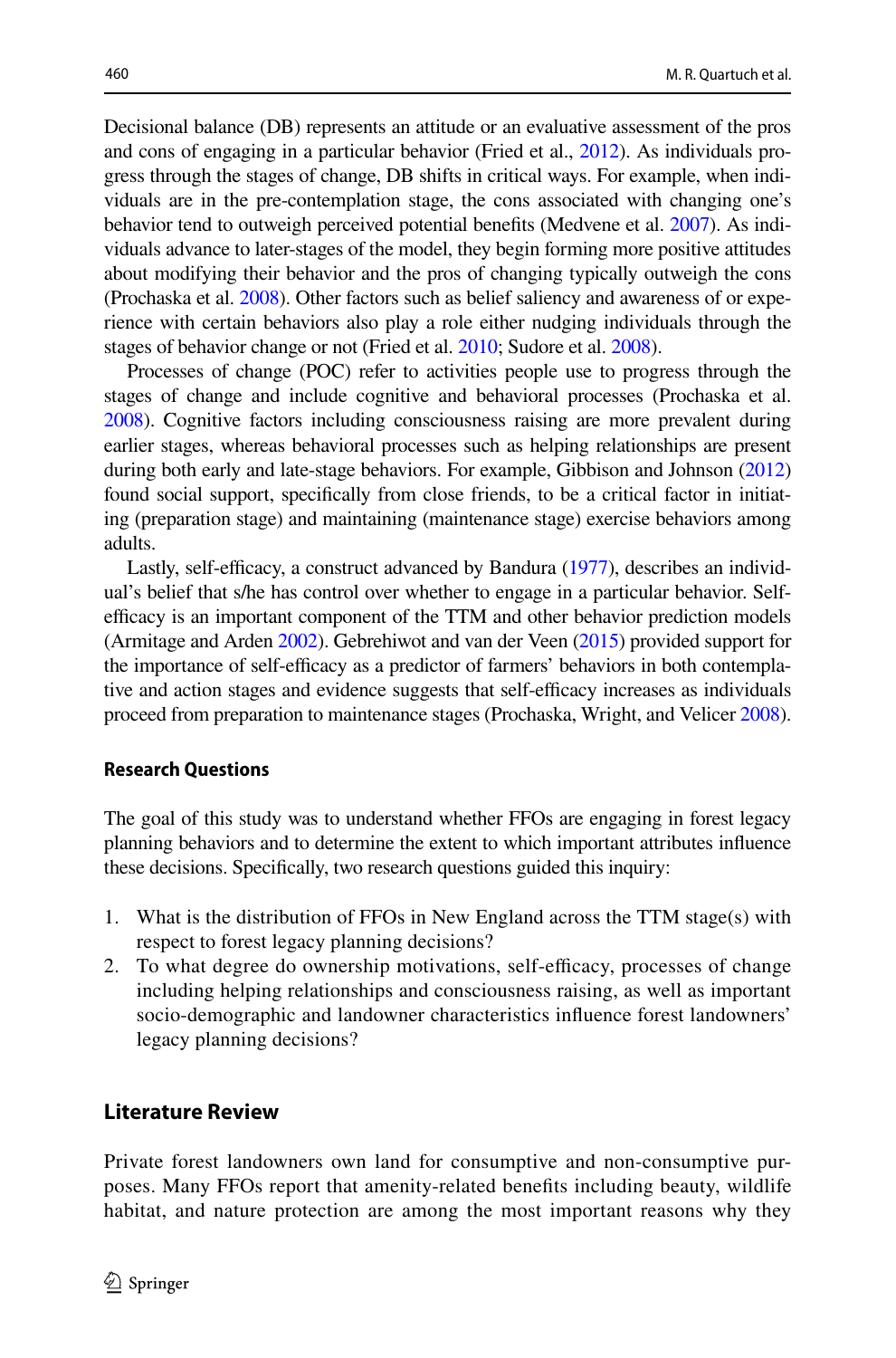Decisional balance (DB) represents an attitude or an evaluative assessment of the pros and cons of engaging in a particular behavior (Fried et al., [2012\)](#page-19-6). As individuals progress through the stages of change, DB shifts in critical ways. For example, when individuals are in the pre-contemplation stage, the cons associated with changing one's behavior tend to outweigh perceived potential benefts (Medvene et al. [2007](#page-20-7)). As individuals advance to later-stages of the model, they begin forming more positive attitudes about modifying their behavior and the pros of changing typically outweigh the cons (Prochaska et al. [2008](#page-20-8)). Other factors such as belief saliency and awareness of or experience with certain behaviors also play a role either nudging individuals through the stages of behavior change or not (Fried et al. [2010](#page-19-8); Sudore et al. [2008](#page-21-4)).

Processes of change (POC) refer to activities people use to progress through the stages of change and include cognitive and behavioral processes (Prochaska et al. [2008](#page-20-8)). Cognitive factors including consciousness raising are more prevalent during earlier stages, whereas behavioral processes such as helping relationships are present during both early and late-stage behaviors. For example, Gibbison and Johnson ([2012](#page-19-7)) found social support, specifcally from close friends, to be a critical factor in initiating (preparation stage) and maintaining (maintenance stage) exercise behaviors among adults.

Lastly, self-efficacy, a construct advanced by Bandura  $(1977)$  $(1977)$ , describes an individual's belief that s/he has control over whether to engage in a particular behavior. Selfefficacy is an important component of the TTM and other behavior prediction models (Armitage and Arden [2002\)](#page-18-1). Gebrehiwot and van der Veen [\(2015\)](#page-19-9) provided support for the importance of self-efficacy as a predictor of farmers' behaviors in both contemplative and action stages and evidence suggests that self-efficacy increases as individuals proceed from preparation to maintenance stages (Prochaska, Wright, and Velicer [2008\)](#page-20-8).

#### **Research Questions**

The goal of this study was to understand whether FFOs are engaging in forest legacy planning behaviors and to determine the extent to which important attributes infuence these decisions. Specifcally, two research questions guided this inquiry:

- 1. What is the distribution of FFOs in New England across the TTM stage(s) with respect to forest legacy planning decisions?
- 2. To what degree do ownership motivations, self-efficacy, processes of change including helping relationships and consciousness raising, as well as important socio-demographic and landowner characteristics infuence forest landowners' legacy planning decisions?

# **Literature Review**

Private forest landowners own land for consumptive and non-consumptive purposes. Many FFOs report that amenity-related benefts including beauty, wildlife habitat, and nature protection are among the most important reasons why they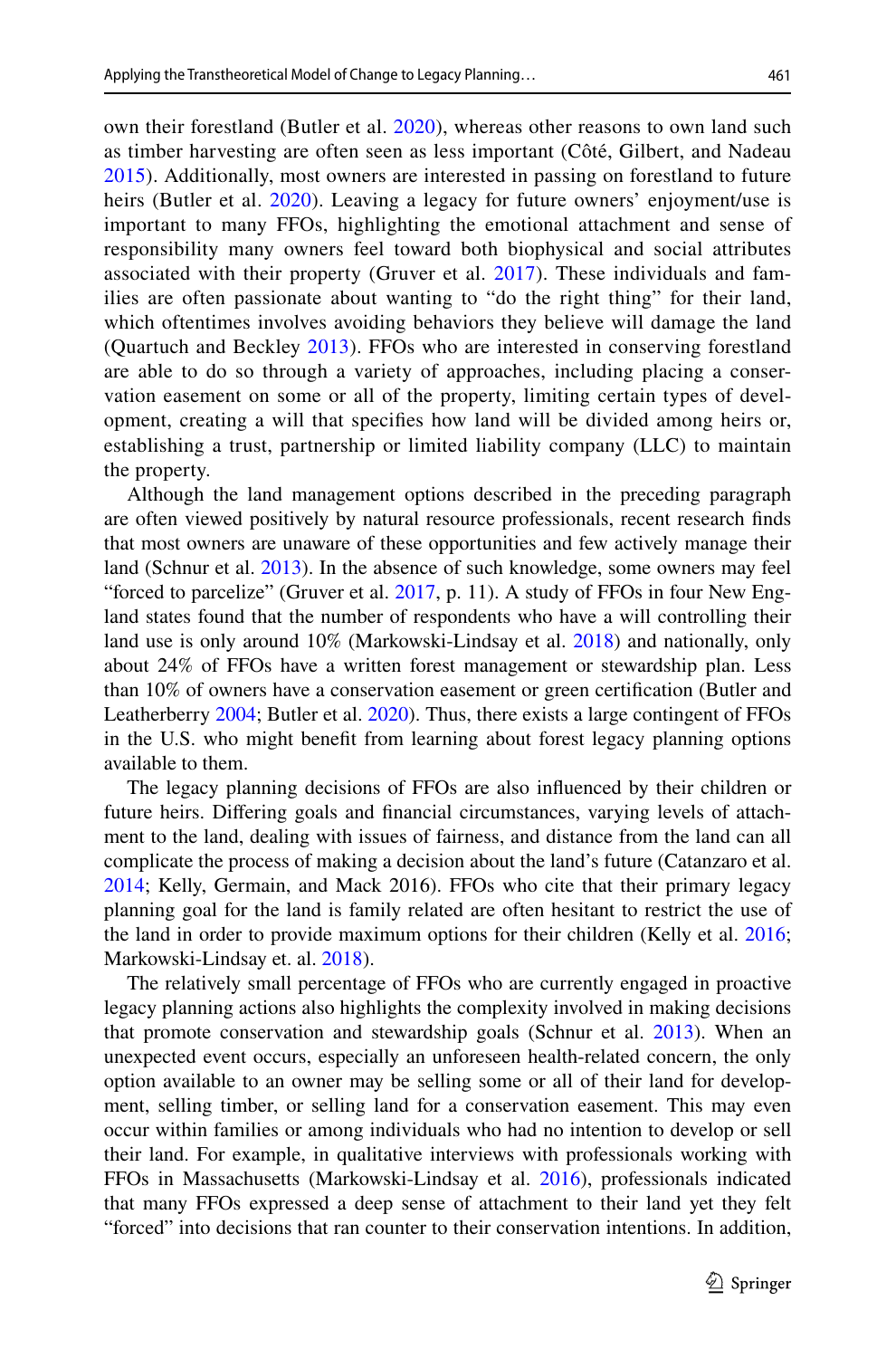own their forestland (Butler et al. [2020\)](#page-19-0), whereas other reasons to own land such as timber harvesting are often seen as less important (Côté, Gilbert, and Nadeau [2015\)](#page-19-10). Additionally, most owners are interested in passing on forestland to future heirs (Butler et al. [2020\)](#page-19-0). Leaving a legacy for future owners' enjoyment/use is important to many FFOs, highlighting the emotional attachment and sense of responsibility many owners feel toward both biophysical and social attributes associated with their property (Gruver et al. [2017\)](#page-19-11). These individuals and families are often passionate about wanting to "do the right thing" for their land, which oftentimes involves avoiding behaviors they believe will damage the land (Quartuch and Beckley [2013\)](#page-20-9). FFOs who are interested in conserving forestland are able to do so through a variety of approaches, including placing a conservation easement on some or all of the property, limiting certain types of development, creating a will that specifes how land will be divided among heirs or, establishing a trust, partnership or limited liability company (LLC) to maintain the property.

Although the land management options described in the preceding paragraph are often viewed positively by natural resource professionals, recent research fnds that most owners are unaware of these opportunities and few actively manage their land (Schnur et al. [2013](#page-21-5)). In the absence of such knowledge, some owners may feel "forced to parcelize" (Gruver et al. [2017,](#page-19-11) p. 11). A study of FFOs in four New England states found that the number of respondents who have a will controlling their land use is only around 10% (Markowski-Lindsay et al. [2018](#page-20-10)) and nationally, only about 24% of FFOs have a written forest management or stewardship plan. Less than 10% of owners have a conservation easement or green certifcation (Butler and Leatherberry [2004;](#page-19-12) Butler et al. [2020](#page-19-0)). Thus, there exists a large contingent of FFOs in the U.S. who might beneft from learning about forest legacy planning options available to them.

The legacy planning decisions of FFOs are also infuenced by their children or future heirs. Difering goals and fnancial circumstances, varying levels of attachment to the land, dealing with issues of fairness, and distance from the land can all complicate the process of making a decision about the land's future (Catanzaro et al. [2014](#page-19-13); Kelly, Germain, and Mack 2016). FFOs who cite that their primary legacy planning goal for the land is family related are often hesitant to restrict the use of the land in order to provide maximum options for their children (Kelly et al. [2016;](#page-20-11) Markowski-Lindsay et. al. [2018\)](#page-20-10).

The relatively small percentage of FFOs who are currently engaged in proactive legacy planning actions also highlights the complexity involved in making decisions that promote conservation and stewardship goals (Schnur et al. [2013\)](#page-21-5). When an unexpected event occurs, especially an unforeseen health-related concern, the only option available to an owner may be selling some or all of their land for development, selling timber, or selling land for a conservation easement. This may even occur within families or among individuals who had no intention to develop or sell their land. For example, in qualitative interviews with professionals working with FFOs in Massachusetts (Markowski-Lindsay et al. [2016\)](#page-20-12), professionals indicated that many FFOs expressed a deep sense of attachment to their land yet they felt "forced" into decisions that ran counter to their conservation intentions. In addition,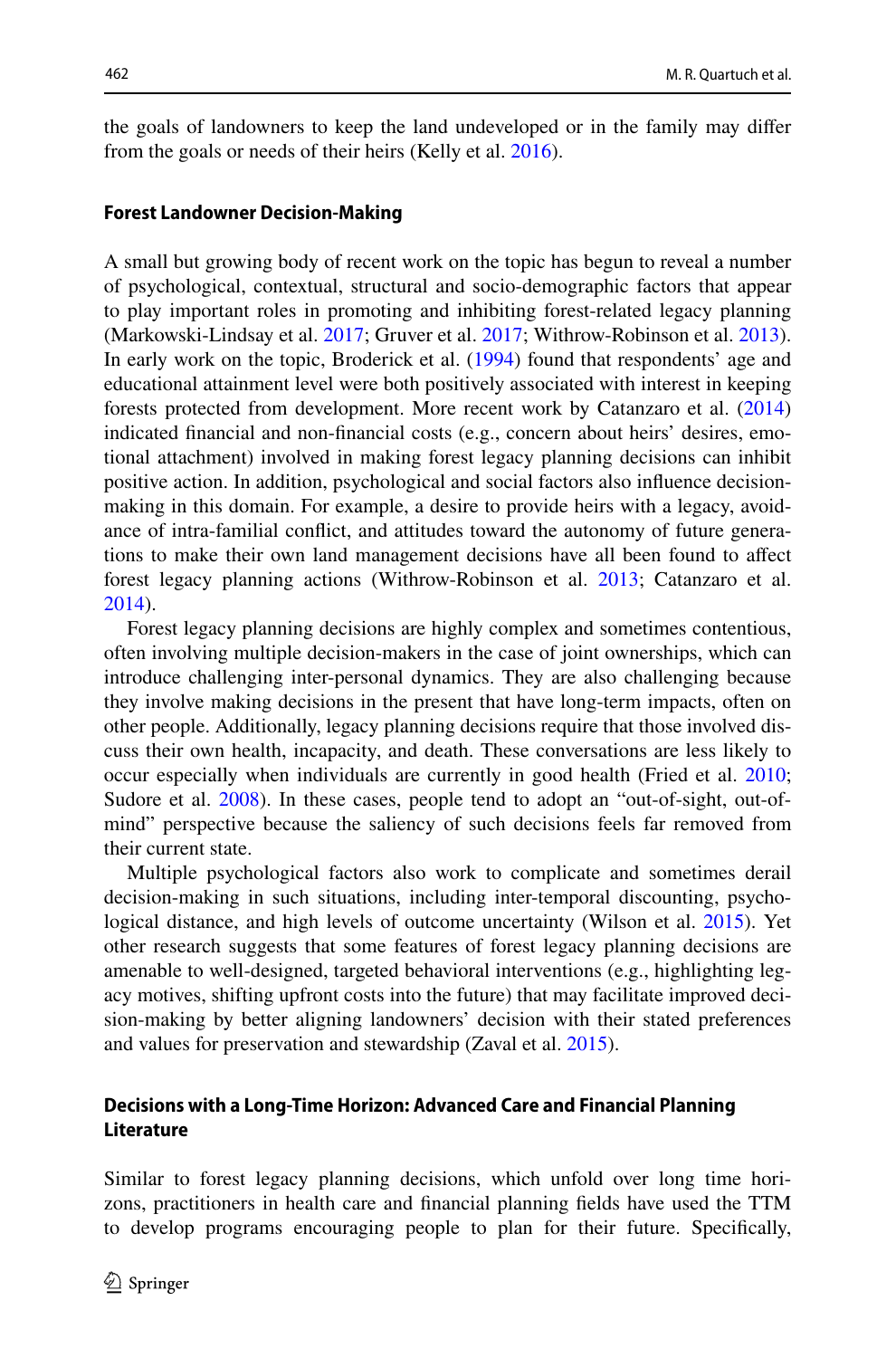the goals of landowners to keep the land undeveloped or in the family may difer from the goals or needs of their heirs (Kelly et al. [2016\)](#page-20-11).

#### **Forest Landowner Decision‑Making**

A small but growing body of recent work on the topic has begun to reveal a number of psychological, contextual, structural and socio-demographic factors that appear to play important roles in promoting and inhibiting forest-related legacy planning (Markowski-Lindsay et al. [2017;](#page-20-2) Gruver et al. [2017;](#page-19-11) Withrow-Robinson et al. [2013\)](#page-21-6). In early work on the topic, Broderick et al. [\(1994](#page-18-2)) found that respondents' age and educational attainment level were both positively associated with interest in keeping forests protected from development. More recent work by Catanzaro et al. ([2014\)](#page-19-13) indicated fnancial and non-fnancial costs (e.g., concern about heirs' desires, emotional attachment) involved in making forest legacy planning decisions can inhibit positive action. In addition, psychological and social factors also infuence decisionmaking in this domain. For example, a desire to provide heirs with a legacy, avoidance of intra-familial confict, and attitudes toward the autonomy of future generations to make their own land management decisions have all been found to afect forest legacy planning actions (Withrow-Robinson et al. [2013](#page-21-6); Catanzaro et al. [2014](#page-19-13)).

Forest legacy planning decisions are highly complex and sometimes contentious, often involving multiple decision-makers in the case of joint ownerships, which can introduce challenging inter-personal dynamics. They are also challenging because they involve making decisions in the present that have long-term impacts, often on other people. Additionally, legacy planning decisions require that those involved discuss their own health, incapacity, and death. These conversations are less likely to occur especially when individuals are currently in good health (Fried et al. [2010;](#page-19-8) Sudore et al. [2008](#page-21-4)). In these cases, people tend to adopt an "out-of-sight, out-ofmind" perspective because the saliency of such decisions feels far removed from their current state.

Multiple psychological factors also work to complicate and sometimes derail decision-making in such situations, including inter-temporal discounting, psychological distance, and high levels of outcome uncertainty (Wilson et al. [2015](#page-21-7)). Yet other research suggests that some features of forest legacy planning decisions are amenable to well-designed, targeted behavioral interventions (e.g., highlighting legacy motives, shifting upfront costs into the future) that may facilitate improved decision-making by better aligning landowners' decision with their stated preferences and values for preservation and stewardship (Zaval et al. [2015](#page-21-8)).

# **Decisions with a Long‑Time Horizon: Advanced Care and Financial Planning Literature**

Similar to forest legacy planning decisions, which unfold over long time horizons, practitioners in health care and fnancial planning felds have used the TTM to develop programs encouraging people to plan for their future. Specifcally,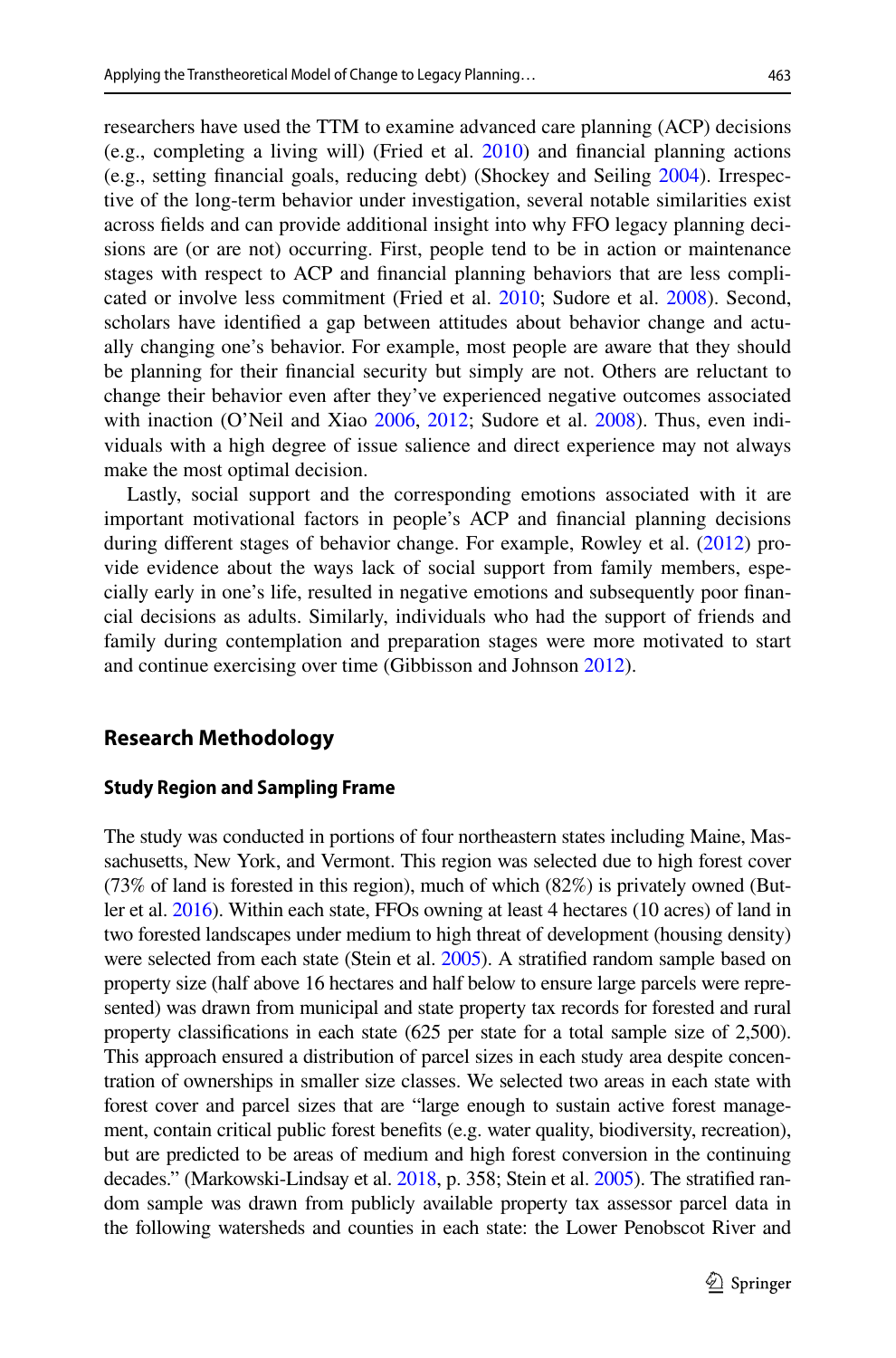researchers have used the TTM to examine advanced care planning (ACP) decisions (e.g., completing a living will) (Fried et al. [2010\)](#page-19-8) and fnancial planning actions (e.g., setting fnancial goals, reducing debt) (Shockey and Seiling [2004](#page-21-9)). Irrespective of the long-term behavior under investigation, several notable similarities exist across felds and can provide additional insight into why FFO legacy planning decisions are (or are not) occurring. First, people tend to be in action or maintenance stages with respect to ACP and fnancial planning behaviors that are less complicated or involve less commitment (Fried et al. [2010;](#page-19-8) Sudore et al. [2008\)](#page-21-4). Second, scholars have identifed a gap between attitudes about behavior change and actually changing one's behavior. For example, most people are aware that they should be planning for their fnancial security but simply are not. Others are reluctant to change their behavior even after they've experienced negative outcomes associated with inaction (O'Neil and Xiao [2006,](#page-20-13) [2012;](#page-20-14) Sudore et al. [2008](#page-21-4)). Thus, even indi-

make the most optimal decision. Lastly, social support and the corresponding emotions associated with it are important motivational factors in people's ACP and fnancial planning decisions during diferent stages of behavior change. For example, Rowley et al. [\(2012](#page-21-10)) provide evidence about the ways lack of social support from family members, especially early in one's life, resulted in negative emotions and subsequently poor fnancial decisions as adults. Similarly, individuals who had the support of friends and family during contemplation and preparation stages were more motivated to start and continue exercising over time (Gibbisson and Johnson [2012\)](#page-19-7).

viduals with a high degree of issue salience and direct experience may not always

# **Research Methodology**

#### **Study Region and Sampling Frame**

The study was conducted in portions of four northeastern states including Maine, Massachusetts, New York, and Vermont. This region was selected due to high forest cover (73% of land is forested in this region), much of which (82%) is privately owned (Butler et al. [2016](#page-19-14)). Within each state, FFOs owning at least 4 hectares (10 acres) of land in two forested landscapes under medium to high threat of development (housing density) were selected from each state (Stein et al. [2005](#page-21-11)). A stratifed random sample based on property size (half above 16 hectares and half below to ensure large parcels were represented) was drawn from municipal and state property tax records for forested and rural property classifcations in each state (625 per state for a total sample size of 2,500). This approach ensured a distribution of parcel sizes in each study area despite concentration of ownerships in smaller size classes. We selected two areas in each state with forest cover and parcel sizes that are "large enough to sustain active forest management, contain critical public forest benefts (e.g. water quality, biodiversity, recreation), but are predicted to be areas of medium and high forest conversion in the continuing decades." (Markowski-Lindsay et al. [2018](#page-20-10), p. 358; Stein et al. [2005](#page-21-11)). The stratifed random sample was drawn from publicly available property tax assessor parcel data in the following watersheds and counties in each state: the Lower Penobscot River and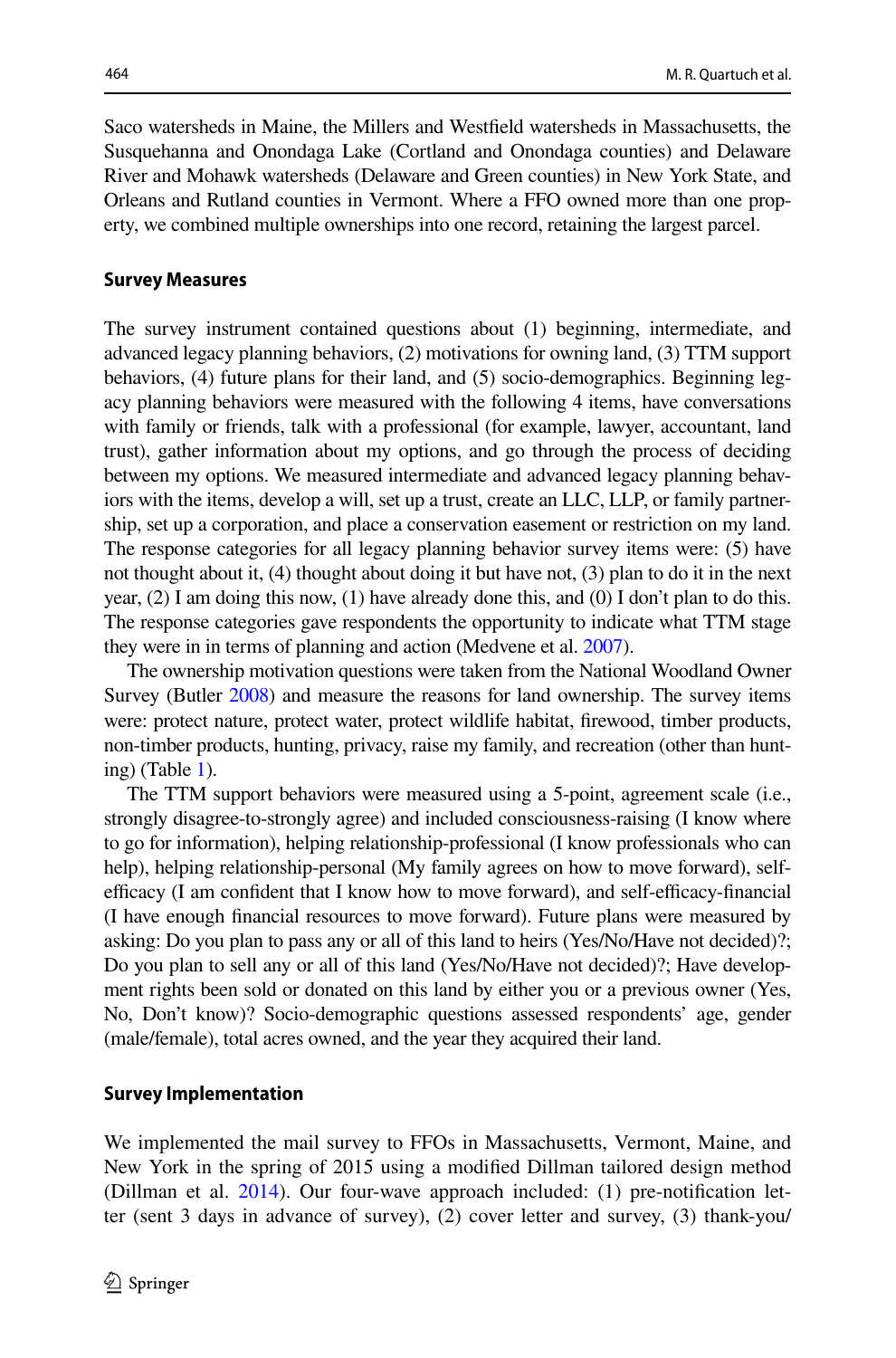Saco watersheds in Maine, the Millers and Westfeld watersheds in Massachusetts, the Susquehanna and Onondaga Lake (Cortland and Onondaga counties) and Delaware River and Mohawk watersheds (Delaware and Green counties) in New York State, and Orleans and Rutland counties in Vermont. Where a FFO owned more than one property, we combined multiple ownerships into one record, retaining the largest parcel.

#### **Survey Measures**

The survey instrument contained questions about (1) beginning, intermediate, and advanced legacy planning behaviors, (2) motivations for owning land, (3) TTM support behaviors, (4) future plans for their land, and (5) socio-demographics. Beginning legacy planning behaviors were measured with the following 4 items, have conversations with family or friends, talk with a professional (for example, lawyer, accountant, land trust), gather information about my options, and go through the process of deciding between my options. We measured intermediate and advanced legacy planning behaviors with the items, develop a will, set up a trust, create an LLC, LLP, or family partnership, set up a corporation, and place a conservation easement or restriction on my land. The response categories for all legacy planning behavior survey items were: (5) have not thought about it, (4) thought about doing it but have not, (3) plan to do it in the next year,  $(2)$  I am doing this now,  $(1)$  have already done this, and  $(0)$  I don't plan to do this. The response categories gave respondents the opportunity to indicate what TTM stage they were in in terms of planning and action (Medvene et al. [2007\)](#page-20-7).

The ownership motivation questions were taken from the National Woodland Owner Survey (Butler [2008\)](#page-19-15) and measure the reasons for land ownership. The survey items were: protect nature, protect water, protect wildlife habitat, frewood, timber products, non-timber products, hunting, privacy, raise my family, and recreation (other than hunting) (Table  $1$ ).

The TTM support behaviors were measured using a 5-point, agreement scale (i.e., strongly disagree-to-strongly agree) and included consciousness-raising (I know where to go for information), helping relationship-professional (I know professionals who can help), helping relationship-personal (My family agrees on how to move forward), selfefficacy (I am confident that I know how to move forward), and self-efficacy-financial (I have enough fnancial resources to move forward). Future plans were measured by asking: Do you plan to pass any or all of this land to heirs (Yes/No/Have not decided)?; Do you plan to sell any or all of this land (Yes/No/Have not decided)?; Have development rights been sold or donated on this land by either you or a previous owner (Yes, No, Don't know)? Socio-demographic questions assessed respondents' age, gender (male/female), total acres owned, and the year they acquired their land.

#### **Survey Implementation**

We implemented the mail survey to FFOs in Massachusetts, Vermont, Maine, and New York in the spring of 2015 using a modifed Dillman tailored design method (Dillman et al.  $2014$ ). Our four-wave approach included: (1) pre-notification letter (sent 3 days in advance of survey), (2) cover letter and survey, (3) thank-you/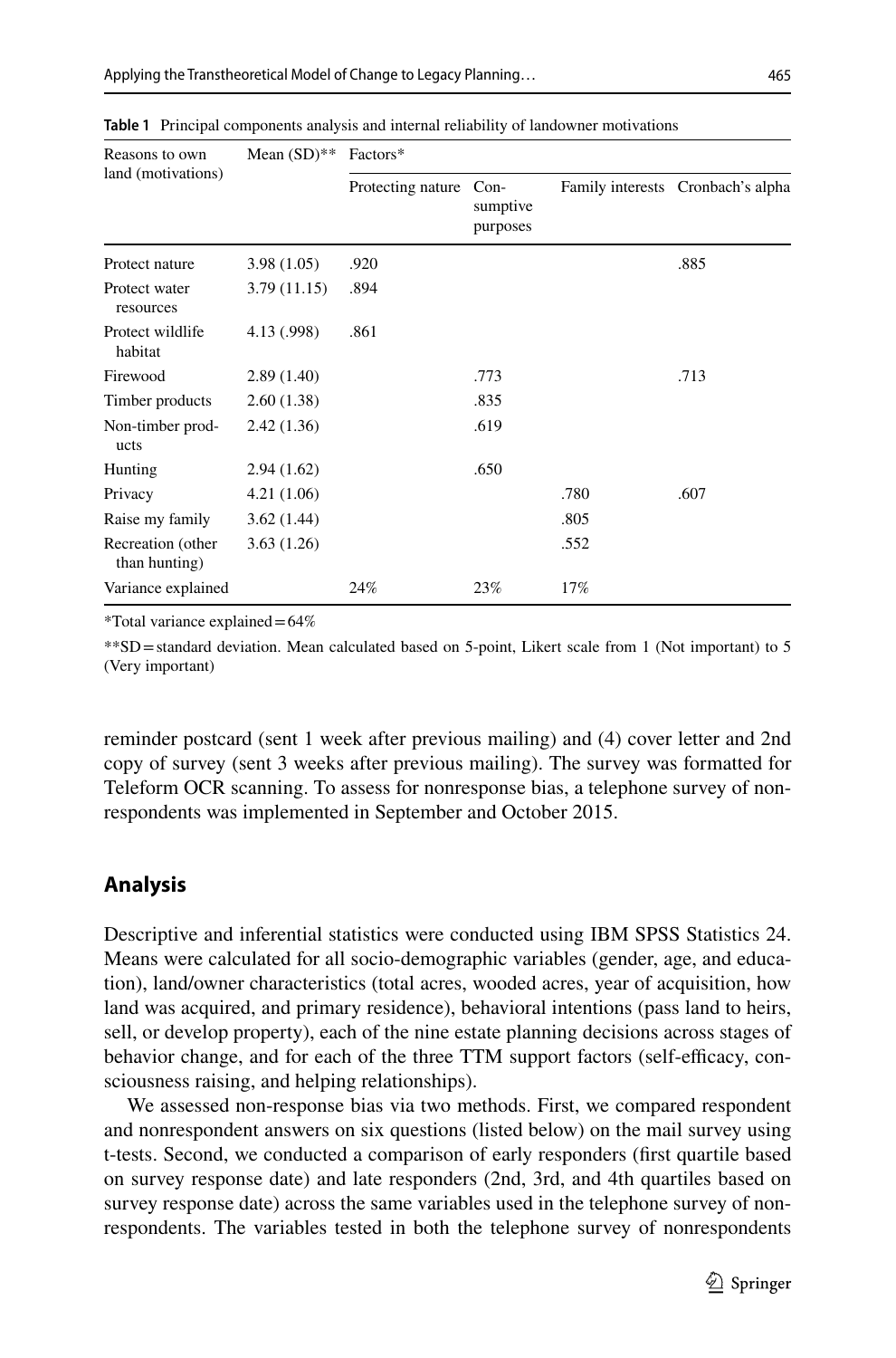| Reasons to own<br>land (motivations) | Mean $(SD)$ ** | Factors*          |                                |      |                                   |
|--------------------------------------|----------------|-------------------|--------------------------------|------|-----------------------------------|
|                                      |                | Protecting nature | $Con-$<br>sumptive<br>purposes |      | Family interests Cronbach's alpha |
| Protect nature                       | 3.98(1.05)     | .920              |                                |      | .885                              |
| Protect water<br>resources           | 3.79(11.15)    | .894              |                                |      |                                   |
| Protect wildlife<br>habitat          | 4.13 (.998)    | .861              |                                |      |                                   |
| Firewood                             | 2.89(1.40)     |                   | .773                           |      | .713                              |
| Timber products                      | 2.60(1.38)     |                   | .835                           |      |                                   |
| Non-timber prod-<br>ucts             | 2.42(1.36)     |                   | .619                           |      |                                   |
| Hunting                              | 2.94(1.62)     |                   | .650                           |      |                                   |
| Privacy                              | 4.21(1.06)     |                   |                                | .780 | .607                              |
| Raise my family                      | 3.62(1.44)     |                   |                                | .805 |                                   |
| Recreation (other<br>than hunting)   | 3.63(1.26)     |                   |                                | .552 |                                   |
| Variance explained                   |                | 24%               | 23%                            | 17%  |                                   |

<span id="page-8-0"></span>**Table 1** Principal components analysis and internal reliability of landowner motivations

\*Total variance explained=64%

\*\*SD=standard deviation. Mean calculated based on 5-point, Likert scale from 1 (Not important) to 5 (Very important)

reminder postcard (sent 1 week after previous mailing) and (4) cover letter and 2nd copy of survey (sent 3 weeks after previous mailing). The survey was formatted for Teleform OCR scanning. To assess for nonresponse bias, a telephone survey of nonrespondents was implemented in September and October 2015.

# **Analysis**

Descriptive and inferential statistics were conducted using IBM SPSS Statistics 24. Means were calculated for all socio-demographic variables (gender, age, and education), land/owner characteristics (total acres, wooded acres, year of acquisition, how land was acquired, and primary residence), behavioral intentions (pass land to heirs, sell, or develop property), each of the nine estate planning decisions across stages of behavior change, and for each of the three TTM support factors (self-efficacy, consciousness raising, and helping relationships).

We assessed non-response bias via two methods. First, we compared respondent and nonrespondent answers on six questions (listed below) on the mail survey using t-tests. Second, we conducted a comparison of early responders (frst quartile based on survey response date) and late responders (2nd, 3rd, and 4th quartiles based on survey response date) across the same variables used in the telephone survey of nonrespondents. The variables tested in both the telephone survey of nonrespondents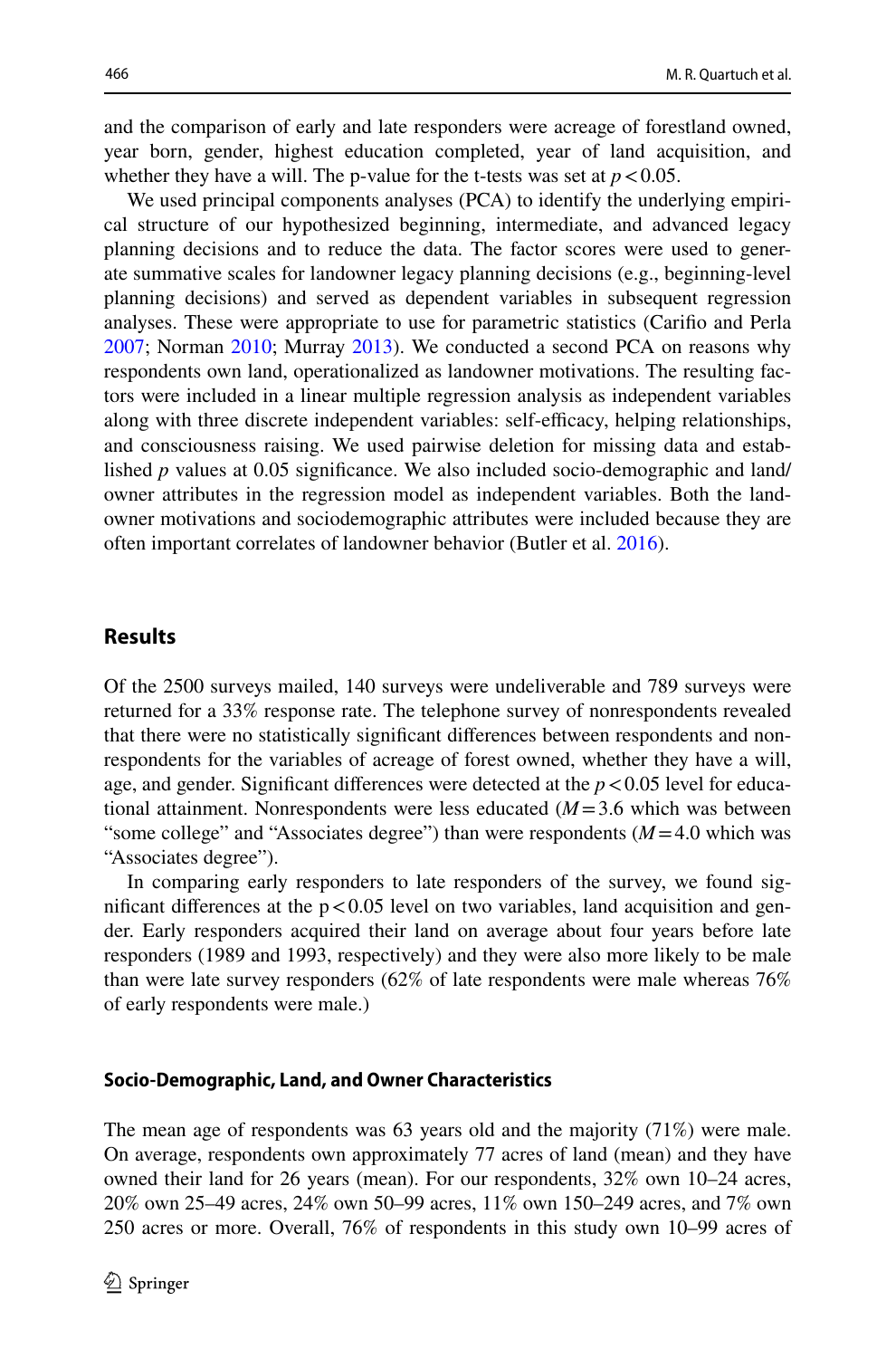and the comparison of early and late responders were acreage of forestland owned, year born, gender, highest education completed, year of land acquisition, and whether they have a will. The p-value for the t-tests was set at  $p < 0.05$ .

We used principal components analyses (PCA) to identify the underlying empirical structure of our hypothesized beginning, intermediate, and advanced legacy planning decisions and to reduce the data. The factor scores were used to generate summative scales for landowner legacy planning decisions (e.g., beginning-level planning decisions) and served as dependent variables in subsequent regression analyses. These were appropriate to use for parametric statistics (Carifo and Perla [2007](#page-19-17); Norman [2010](#page-20-15); Murray [2013\)](#page-20-16). We conducted a second PCA on reasons why respondents own land, operationalized as landowner motivations. The resulting factors were included in a linear multiple regression analysis as independent variables along with three discrete independent variables: self-efficacy, helping relationships, and consciousness raising. We used pairwise deletion for missing data and established *p* values at 0.05 significance. We also included socio-demographic and land/ owner attributes in the regression model as independent variables. Both the landowner motivations and sociodemographic attributes were included because they are often important correlates of landowner behavior (Butler et al. [2016\)](#page-19-14).

# **Results**

Of the 2500 surveys mailed, 140 surveys were undeliverable and 789 surveys were returned for a 33% response rate. The telephone survey of nonrespondents revealed that there were no statistically signifcant diferences between respondents and nonrespondents for the variables of acreage of forest owned, whether they have a will, age, and gender. Significant differences were detected at the  $p < 0.05$  level for educational attainment. Nonrespondents were less educated (*M*=3.6 which was between "some college" and "Associates degree") than were respondents (*M*=4.0 which was "Associates degree").

In comparing early responders to late responders of the survey, we found significant differences at the  $p < 0.05$  level on two variables, land acquisition and gender. Early responders acquired their land on average about four years before late responders (1989 and 1993, respectively) and they were also more likely to be male than were late survey responders (62% of late respondents were male whereas 76% of early respondents were male.)

#### **Socio‑Demographic, Land, and Owner Characteristics**

The mean age of respondents was 63 years old and the majority (71%) were male. On average, respondents own approximately 77 acres of land (mean) and they have owned their land for 26 years (mean). For our respondents, 32% own 10–24 acres, 20% own 25–49 acres, 24% own 50–99 acres, 11% own 150–249 acres, and 7% own 250 acres or more. Overall, 76% of respondents in this study own 10–99 acres of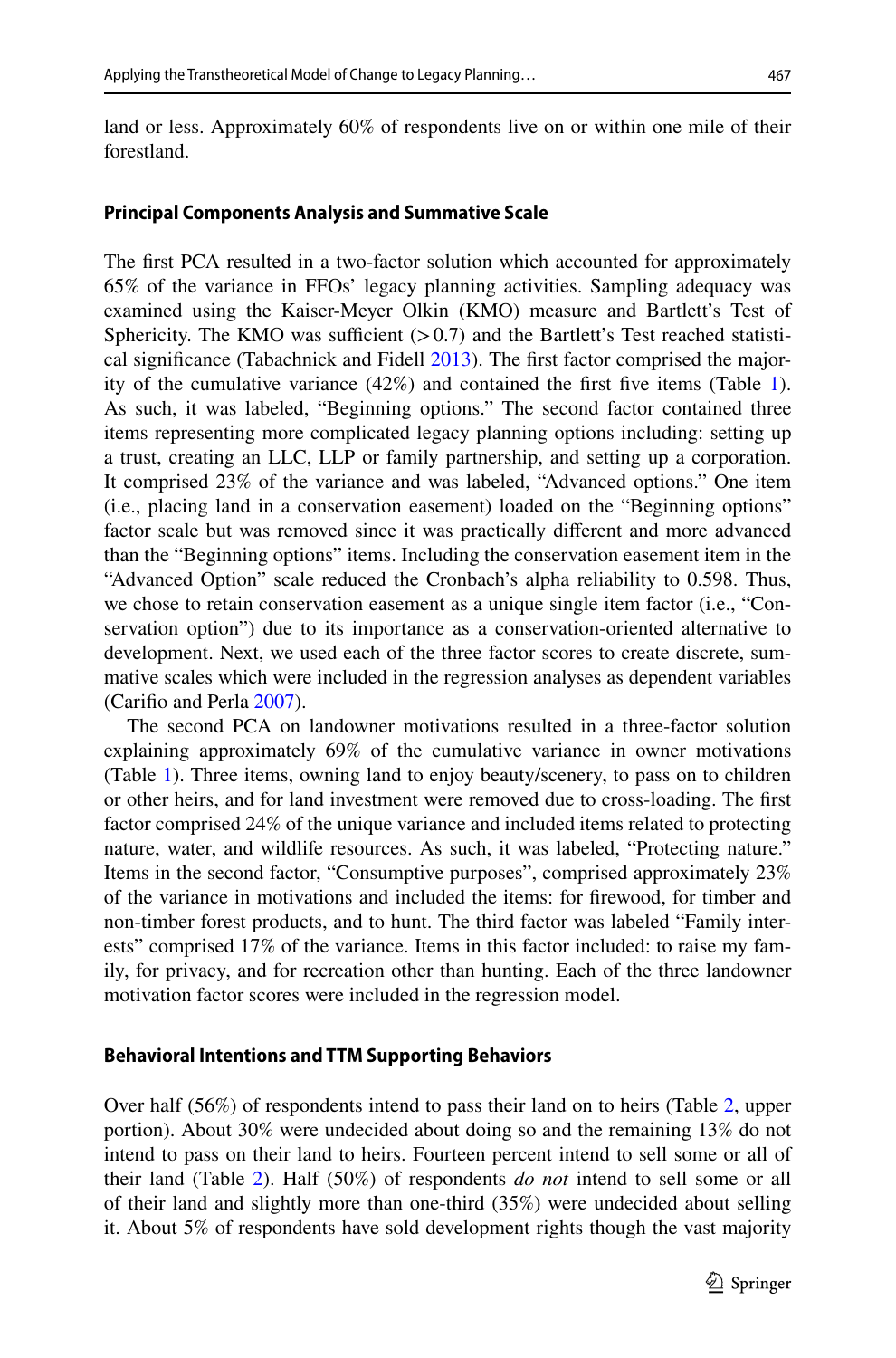land or less. Approximately 60% of respondents live on or within one mile of their forestland.

### **Principal Components Analysis and Summative Scale**

The frst PCA resulted in a two-factor solution which accounted for approximately 65% of the variance in FFOs' legacy planning activities. Sampling adequacy was examined using the Kaiser-Meyer Olkin (KMO) measure and Bartlett's Test of Sphericity. The KMO was sufficient  $(>0.7)$  and the Bartlett's Test reached statistical signifcance (Tabachnick and Fidell [2013](#page-21-12)). The frst factor comprised the majority of the cumulative variance  $(42\%)$  and contained the first five items (Table [1\)](#page-8-0). As such, it was labeled, "Beginning options." The second factor contained three items representing more complicated legacy planning options including: setting up a trust, creating an LLC, LLP or family partnership, and setting up a corporation. It comprised 23% of the variance and was labeled, "Advanced options." One item (i.e., placing land in a conservation easement) loaded on the "Beginning options" factor scale but was removed since it was practically diferent and more advanced than the "Beginning options" items. Including the conservation easement item in the "Advanced Option" scale reduced the Cronbach's alpha reliability to 0.598. Thus, we chose to retain conservation easement as a unique single item factor (i.e., "Conservation option") due to its importance as a conservation-oriented alternative to development. Next, we used each of the three factor scores to create discrete, summative scales which were included in the regression analyses as dependent variables (Carifo and Perla [2007\)](#page-19-17).

The second PCA on landowner motivations resulted in a three-factor solution explaining approximately 69% of the cumulative variance in owner motivations (Table [1\)](#page-8-0). Three items, owning land to enjoy beauty/scenery, to pass on to children or other heirs, and for land investment were removed due to cross-loading. The frst factor comprised 24% of the unique variance and included items related to protecting nature, water, and wildlife resources. As such, it was labeled, "Protecting nature." Items in the second factor, "Consumptive purposes", comprised approximately 23% of the variance in motivations and included the items: for frewood, for timber and non-timber forest products, and to hunt. The third factor was labeled "Family interests" comprised 17% of the variance. Items in this factor included: to raise my family, for privacy, and for recreation other than hunting. Each of the three landowner motivation factor scores were included in the regression model.

#### **Behavioral Intentions and TTM Supporting Behaviors**

Over half (56%) of respondents intend to pass their land on to heirs (Table [2](#page-11-0), upper portion). About 30% were undecided about doing so and the remaining 13% do not intend to pass on their land to heirs. Fourteen percent intend to sell some or all of their land (Table [2](#page-11-0)). Half (50%) of respondents *do not* intend to sell some or all of their land and slightly more than one-third (35%) were undecided about selling it. About 5% of respondents have sold development rights though the vast majority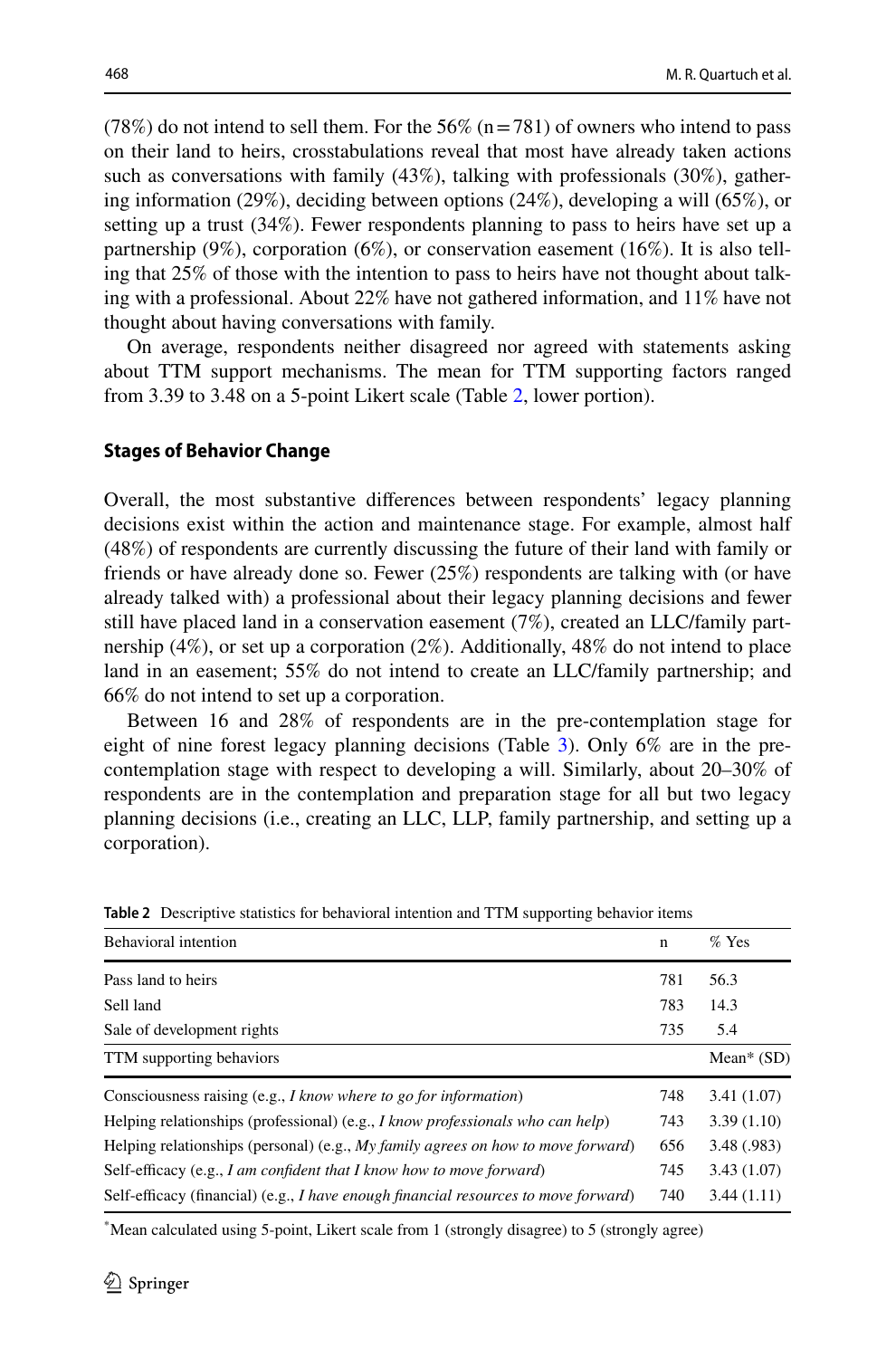$(78%)$  do not intend to sell them. For the 56% (n = 781) of owners who intend to pass on their land to heirs, crosstabulations reveal that most have already taken actions such as conversations with family (43%), talking with professionals (30%), gathering information (29%), deciding between options (24%), developing a will (65%), or setting up a trust (34%). Fewer respondents planning to pass to heirs have set up a partnership (9%), corporation (6%), or conservation easement (16%). It is also telling that 25% of those with the intention to pass to heirs have not thought about talking with a professional. About 22% have not gathered information, and 11% have not thought about having conversations with family.

On average, respondents neither disagreed nor agreed with statements asking about TTM support mechanisms. The mean for TTM supporting factors ranged from 3.39 to 3.48 on a 5-point Likert scale (Table [2,](#page-11-0) lower portion).

#### **Stages of Behavior Change**

Overall, the most substantive diferences between respondents' legacy planning decisions exist within the action and maintenance stage. For example, almost half (48%) of respondents are currently discussing the future of their land with family or friends or have already done so. Fewer (25%) respondents are talking with (or have already talked with) a professional about their legacy planning decisions and fewer still have placed land in a conservation easement (7%), created an LLC/family partnership (4%), or set up a corporation (2%). Additionally, 48% do not intend to place land in an easement; 55% do not intend to create an LLC/family partnership; and 66% do not intend to set up a corporation.

Between 16 and 28% of respondents are in the pre-contemplation stage for eight of nine forest legacy planning decisions (Table [3\)](#page-13-0). Only 6% are in the precontemplation stage with respect to developing a will. Similarly, about 20–30% of respondents are in the contemplation and preparation stage for all but two legacy planning decisions (i.e., creating an LLC, LLP, family partnership, and setting up a corporation).

| <b>Behavioral</b> intention                                                                 | $\mathbf n$ | $%$ Yes      |
|---------------------------------------------------------------------------------------------|-------------|--------------|
| Pass land to heirs                                                                          | 781         | 56.3         |
| Sell land                                                                                   | 783         | 14.3         |
| Sale of development rights                                                                  | 735         | 5.4          |
| TTM supporting behaviors                                                                    |             | Mean* $(SD)$ |
| Consciousness raising (e.g., I know where to go for information)                            | 748         | 3.41(1.07)   |
| Helping relationships (professional) (e.g., <i>I know professionals who can help</i> )      | 743         | 3.39(1.10)   |
| Helping relationships (personal) (e.g., My family agrees on how to move forward)            | 656         | 3.48(.983)   |
| Self-efficacy (e.g., I am confident that I know how to move forward)                        | 745         | 3.43(1.07)   |
| Self-efficacy (financial) (e.g., <i>I have enough financial resources to move forward</i> ) | 740         | 3.44(1.11)   |

<span id="page-11-0"></span>**Table 2** Descriptive statistics for behavioral intention and TTM supporting behavior items

\* Mean calculated using 5-point, Likert scale from 1 (strongly disagree) to 5 (strongly agree)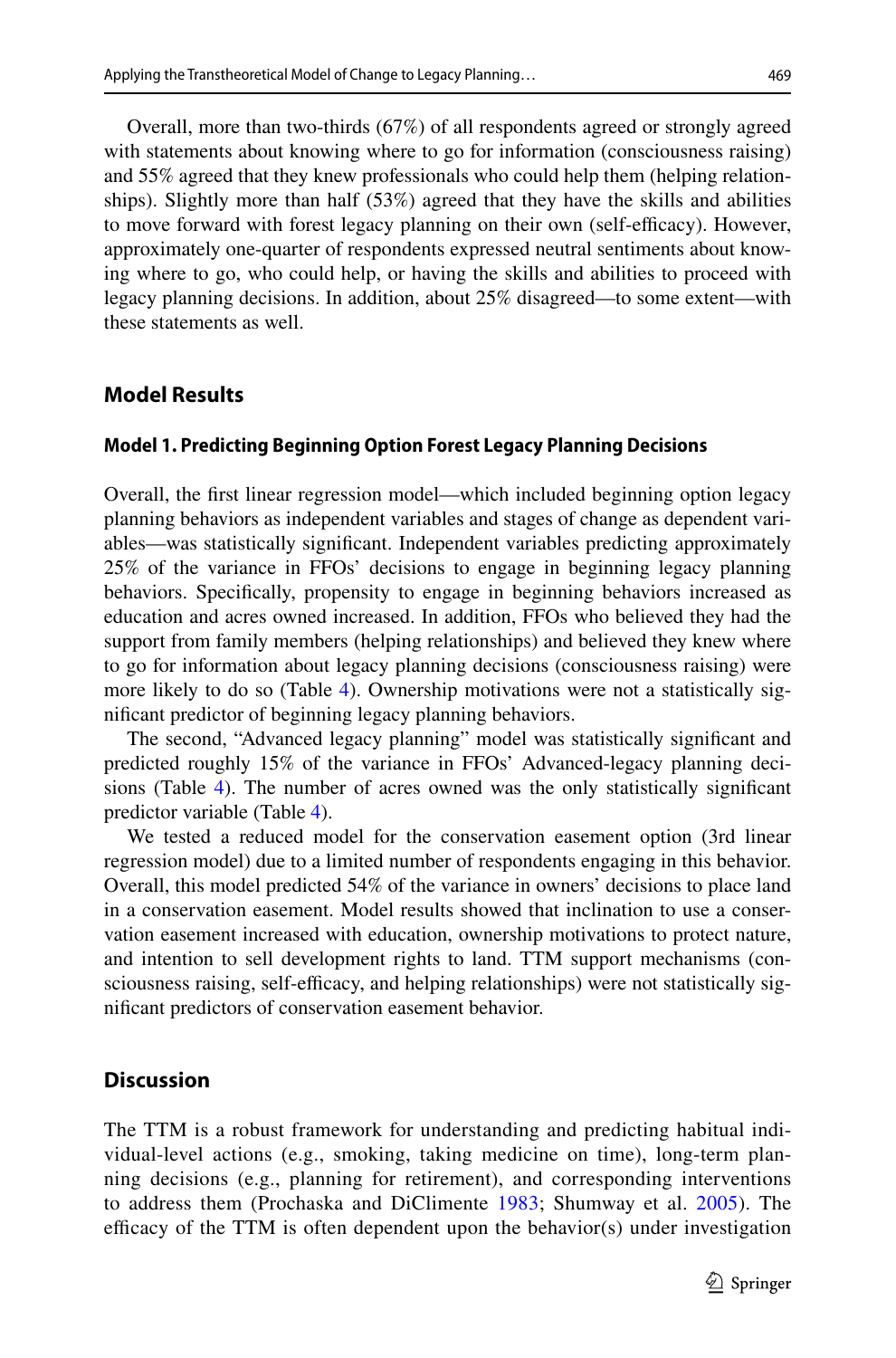Overall, more than two-thirds (67%) of all respondents agreed or strongly agreed with statements about knowing where to go for information (consciousness raising) and 55% agreed that they knew professionals who could help them (helping relationships). Slightly more than half (53%) agreed that they have the skills and abilities to move forward with forest legacy planning on their own (self-efficacy). However, approximately one-quarter of respondents expressed neutral sentiments about knowing where to go, who could help, or having the skills and abilities to proceed with legacy planning decisions. In addition, about 25% disagreed—to some extent—with these statements as well.

### **Model Results**

#### **Model 1. Predicting Beginning Option Forest Legacy Planning Decisions**

Overall, the frst linear regression model—which included beginning option legacy planning behaviors as independent variables and stages of change as dependent variables—was statistically signifcant. Independent variables predicting approximately 25% of the variance in FFOs' decisions to engage in beginning legacy planning behaviors. Specifcally, propensity to engage in beginning behaviors increased as education and acres owned increased. In addition, FFOs who believed they had the support from family members (helping relationships) and believed they knew where to go for information about legacy planning decisions (consciousness raising) were more likely to do so (Table [4\)](#page-14-0). Ownership motivations were not a statistically signifcant predictor of beginning legacy planning behaviors.

The second, "Advanced legacy planning" model was statistically signifcant and predicted roughly 15% of the variance in FFOs' Advanced-legacy planning decisions (Table [4](#page-14-0)). The number of acres owned was the only statistically signifcant predictor variable (Table [4\)](#page-14-0).

We tested a reduced model for the conservation easement option (3rd linear regression model) due to a limited number of respondents engaging in this behavior. Overall, this model predicted 54% of the variance in owners' decisions to place land in a conservation easement. Model results showed that inclination to use a conservation easement increased with education, ownership motivations to protect nature, and intention to sell development rights to land. TTM support mechanisms (consciousness raising, self-efficacy, and helping relationships) were not statistically signifcant predictors of conservation easement behavior.

# **Discussion**

The TTM is a robust framework for understanding and predicting habitual individual-level actions (e.g., smoking, taking medicine on time), long-term planning decisions (e.g., planning for retirement), and corresponding interventions to address them (Prochaska and DiClimente [1983;](#page-20-3) Shumway et al. [2005](#page-21-13)). The efficacy of the TTM is often dependent upon the behavior(s) under investigation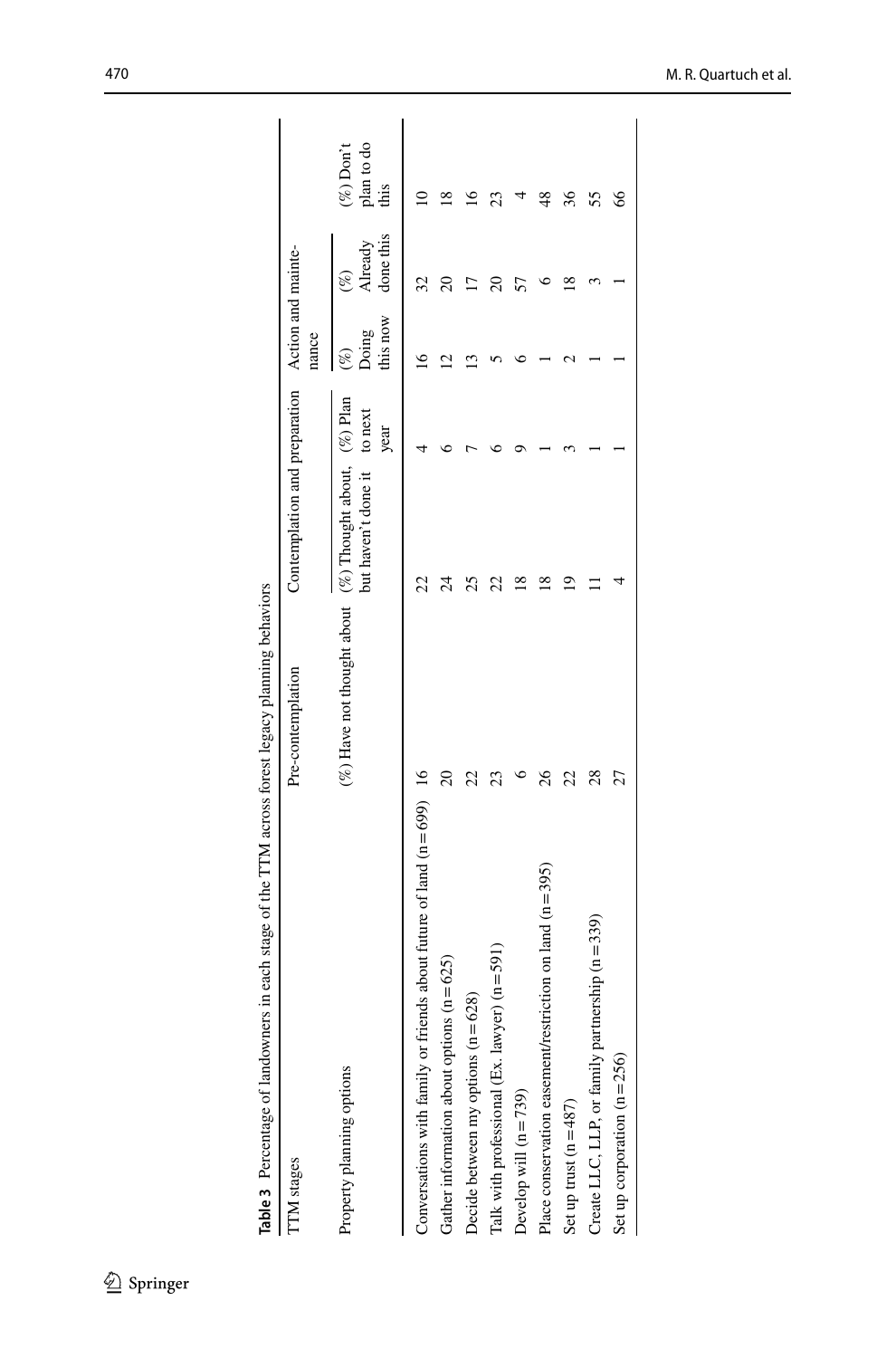| contributed in the contribution of the contribution of the contribution of the contribution of the contribution of the contribution of the contribution of the contribution of the contribution of the contribution of the con |                                                              |                                                  |      |                   |                                |                                    |
|--------------------------------------------------------------------------------------------------------------------------------------------------------------------------------------------------------------------------------|--------------------------------------------------------------|--------------------------------------------------|------|-------------------|--------------------------------|------------------------------------|
| <b>TM</b> stages                                                                                                                                                                                                               | Pre-contemplation                                            | Contemplation and preparation Action and mainte- |      | nance             |                                |                                    |
| Property planning options                                                                                                                                                                                                      | (%) Have not thought about $(\%)$ Thought about, $(\%)$ Plan | but haven't done it to next                      | year | this now<br>Doing | done this<br>Already<br>$(\%)$ | plan to do<br>$(\%)$ Don't<br>this |
| Conversations with family or friends about future of land $(n = 699)$ 16                                                                                                                                                       |                                                              |                                                  |      |                   |                                |                                    |
| Gather information about options $(n = 625)$                                                                                                                                                                                   |                                                              | $\overline{24}$                                  |      |                   |                                | ∞                                  |
| Decide between my options $(n = 628)$                                                                                                                                                                                          |                                                              |                                                  |      |                   |                                |                                    |
| Talk with professional (Ex. lawyer) $(n = 591)$                                                                                                                                                                                |                                                              | 22                                               |      |                   |                                |                                    |
| Develop will $(n=739)$                                                                                                                                                                                                         |                                                              |                                                  |      |                   |                                |                                    |
| Place conservation easement/restriction on land $(n=395)$                                                                                                                                                                      | 26                                                           | ≌                                                |      |                   |                                | $^{48}$                            |
| Set up trust $(n = 487)$                                                                                                                                                                                                       |                                                              |                                                  |      |                   |                                | 36                                 |
| Create LLC, LLP, or family partnership (n=339)                                                                                                                                                                                 | 28                                                           |                                                  |      |                   |                                | 55                                 |
| Set up corporation $(n=256)$                                                                                                                                                                                                   |                                                              |                                                  |      |                   |                                | 8                                  |
|                                                                                                                                                                                                                                |                                                              |                                                  |      |                   |                                |                                    |

<span id="page-13-0"></span>Table 3 Percentage of landowners in each stage of the TTM across forest legacy planning behaviors **Table 3** Percentage of landowners in each stage of the TTM across forest legacy planning behaviors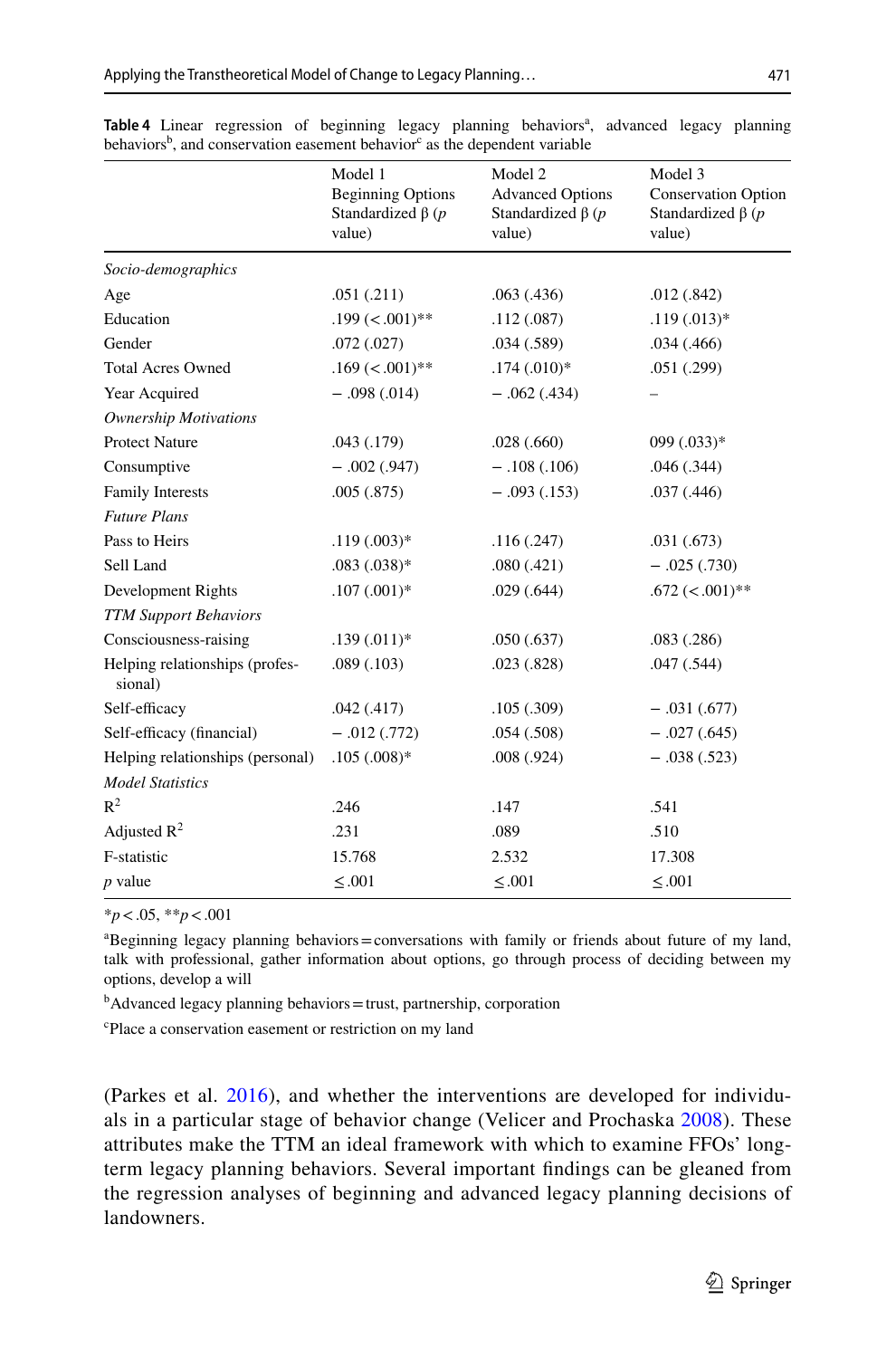|                                           | Model 1<br><b>Beginning Options</b><br>Standardized $\beta$ (p<br>value) | Model 2<br><b>Advanced Options</b><br>Standardized $\beta$ (p<br>value) | Model 3<br><b>Conservation Option</b><br>Standardized $\beta$ (p<br>value) |
|-------------------------------------------|--------------------------------------------------------------------------|-------------------------------------------------------------------------|----------------------------------------------------------------------------|
| Socio-demographics                        |                                                                          |                                                                         |                                                                            |
| Age                                       | .051(.211)                                                               | .063(0.436)                                                             | .012(.842)                                                                 |
| Education                                 | $.199 \,(<.001)$ **                                                      | .112(.087)                                                              | $.119(.013)*$                                                              |
| Gender                                    | .072(.027)                                                               | .034(.589)                                                              | .034(.466)                                                                 |
| <b>Total Acres Owned</b>                  | $.169 (< 0.01)$ **                                                       | $.174(.010)*$                                                           | .051 (.299)                                                                |
| Year Acquired                             | $-.098(.014)$                                                            | $-.062(.434)$                                                           |                                                                            |
| <b>Ownership Motivations</b>              |                                                                          |                                                                         |                                                                            |
| <b>Protect Nature</b>                     | .043(.179)                                                               | .028(.660)                                                              | $099(.033)*$                                                               |
| Consumptive                               | $-.002(.947)$                                                            | $-.108(.106)$                                                           | .046 (.344)                                                                |
| <b>Family Interests</b>                   | .005(.875)                                                               | $-.093(.153)$                                                           | .037(.446)                                                                 |
| <b>Future Plans</b>                       |                                                                          |                                                                         |                                                                            |
| Pass to Heirs                             | $.119(.003)*$                                                            | .116(.247)                                                              | .031(.673)                                                                 |
| Sell Land                                 | $.083(.038)*$                                                            | .080(.421)                                                              | $-.025(.730)$                                                              |
| Development Rights                        | $.107(.001)*$                                                            | .029(.644)                                                              | $.672 \ (< .001)$ **                                                       |
| <b>TTM Support Behaviors</b>              |                                                                          |                                                                         |                                                                            |
| Consciousness-raising                     | $.139(.011)*$                                                            | .050(.637)                                                              | .083(.286)                                                                 |
| Helping relationships (profes-<br>sional) | .089(.103)                                                               | .023(.828)                                                              | .047 (.544)                                                                |
| Self-efficacy                             | .042(.417)                                                               | .105(.309)                                                              | $-.031(.677)$                                                              |
| Self-efficacy (financial)                 | $-.012(.772)$                                                            | .054(.508)                                                              | $-.027(.645)$                                                              |
| Helping relationships (personal)          | $.105(.008)*$                                                            | .008(.924)                                                              | $-.038(.523)$                                                              |
| <b>Model Statistics</b>                   |                                                                          |                                                                         |                                                                            |
| $R^2$                                     | .246                                                                     | .147                                                                    | .541                                                                       |
| Adjusted $R^2$                            | .231                                                                     | .089                                                                    | .510                                                                       |
| F-statistic                               | 15.768                                                                   | 2.532                                                                   | 17.308                                                                     |
| <i>p</i> value                            | $\leq .001$                                                              | $\leq .001$                                                             | $\leq .001$                                                                |

<span id="page-14-0"></span>Table 4 Linear regression of beginning legacy planning behaviors<sup>a</sup>, advanced legacy planning behaviors<sup>b</sup>, and conservation easement behavior<sup>c</sup> as the dependent variable

\**p*<.05, \*\**p*<.001

a Beginning legacy planning behaviors=conversations with family or friends about future of my land, talk with professional, gather information about options, go through process of deciding between my options, develop a will

<sup>b</sup>Advanced legacy planning behaviors=trust, partnership, corporation

c Place a conservation easement or restriction on my land

(Parkes et al. [2016\)](#page-20-5), and whether the interventions are developed for individuals in a particular stage of behavior change (Velicer and Prochaska [2008\)](#page-21-14). These attributes make the TTM an ideal framework with which to examine FFOs' longterm legacy planning behaviors. Several important fndings can be gleaned from the regression analyses of beginning and advanced legacy planning decisions of landowners.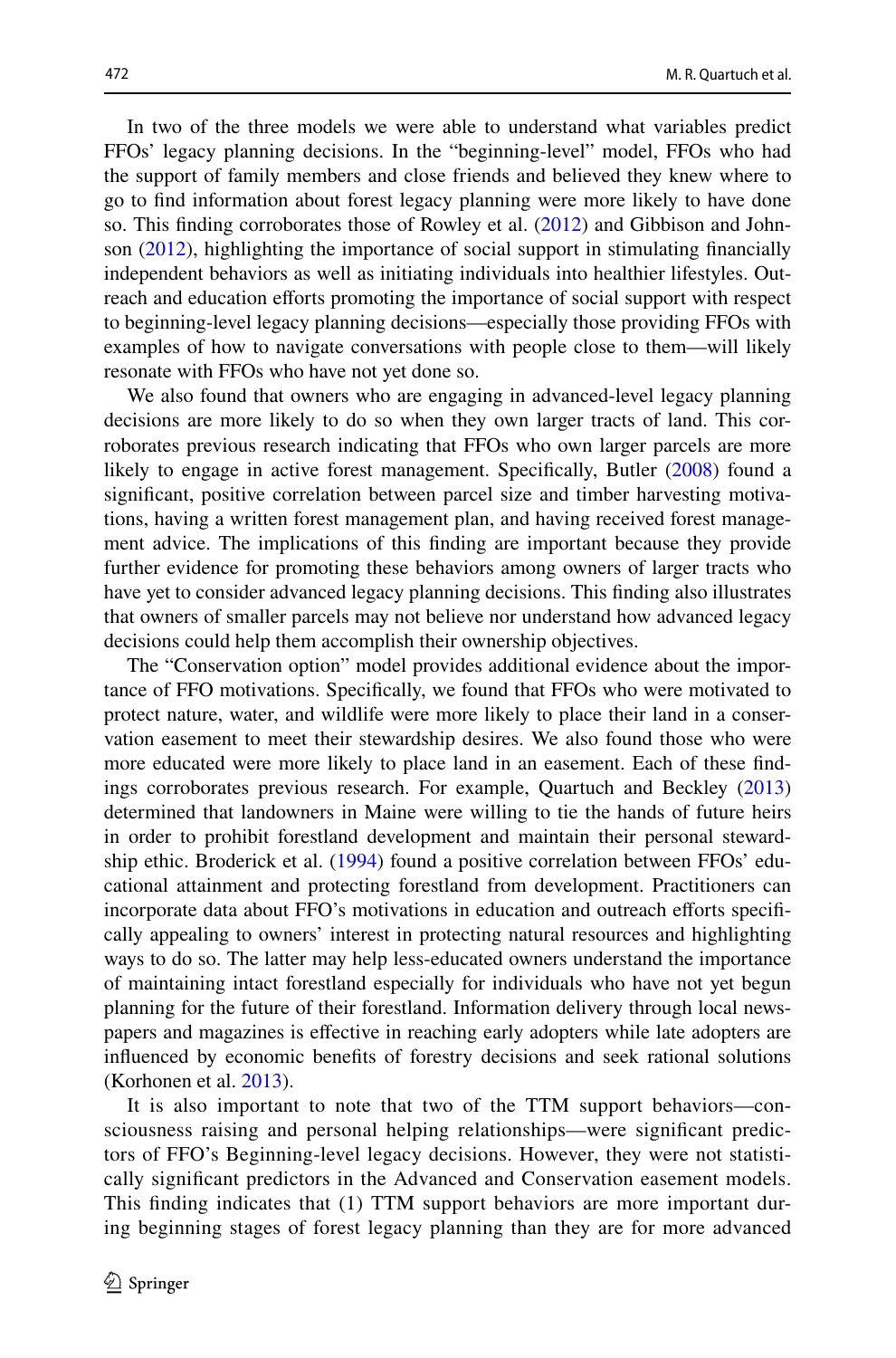In two of the three models we were able to understand what variables predict FFOs' legacy planning decisions. In the "beginning-level" model, FFOs who had the support of family members and close friends and believed they knew where to go to fnd information about forest legacy planning were more likely to have done so. This finding corroborates those of Rowley et al. [\(2012](#page-21-10)) and Gibbison and Johnson [\(2012](#page-19-7)), highlighting the importance of social support in stimulating fnancially independent behaviors as well as initiating individuals into healthier lifestyles. Outreach and education eforts promoting the importance of social support with respect to beginning-level legacy planning decisions—especially those providing FFOs with examples of how to navigate conversations with people close to them—will likely resonate with FFOs who have not yet done so.

We also found that owners who are engaging in advanced-level legacy planning decisions are more likely to do so when they own larger tracts of land. This corroborates previous research indicating that FFOs who own larger parcels are more likely to engage in active forest management. Specifcally, Butler ([2008\)](#page-19-15) found a signifcant, positive correlation between parcel size and timber harvesting motivations, having a written forest management plan, and having received forest management advice. The implications of this fnding are important because they provide further evidence for promoting these behaviors among owners of larger tracts who have yet to consider advanced legacy planning decisions. This fnding also illustrates that owners of smaller parcels may not believe nor understand how advanced legacy decisions could help them accomplish their ownership objectives.

The "Conservation option" model provides additional evidence about the importance of FFO motivations. Specifcally, we found that FFOs who were motivated to protect nature, water, and wildlife were more likely to place their land in a conservation easement to meet their stewardship desires. We also found those who were more educated were more likely to place land in an easement. Each of these fndings corroborates previous research. For example, Quartuch and Beckley ([2013\)](#page-20-9) determined that landowners in Maine were willing to tie the hands of future heirs in order to prohibit forestland development and maintain their personal stewardship ethic. Broderick et al. [\(1994](#page-18-2)) found a positive correlation between FFOs' educational attainment and protecting forestland from development. Practitioners can incorporate data about FFO's motivations in education and outreach eforts specifcally appealing to owners' interest in protecting natural resources and highlighting ways to do so. The latter may help less-educated owners understand the importance of maintaining intact forestland especially for individuals who have not yet begun planning for the future of their forestland. Information delivery through local newspapers and magazines is efective in reaching early adopters while late adopters are infuenced by economic benefts of forestry decisions and seek rational solutions (Korhonen et al. [2013\)](#page-20-17).

It is also important to note that two of the TTM support behaviors—consciousness raising and personal helping relationships—were signifcant predictors of FFO's Beginning-level legacy decisions. However, they were not statistically signifcant predictors in the Advanced and Conservation easement models. This fnding indicates that (1) TTM support behaviors are more important during beginning stages of forest legacy planning than they are for more advanced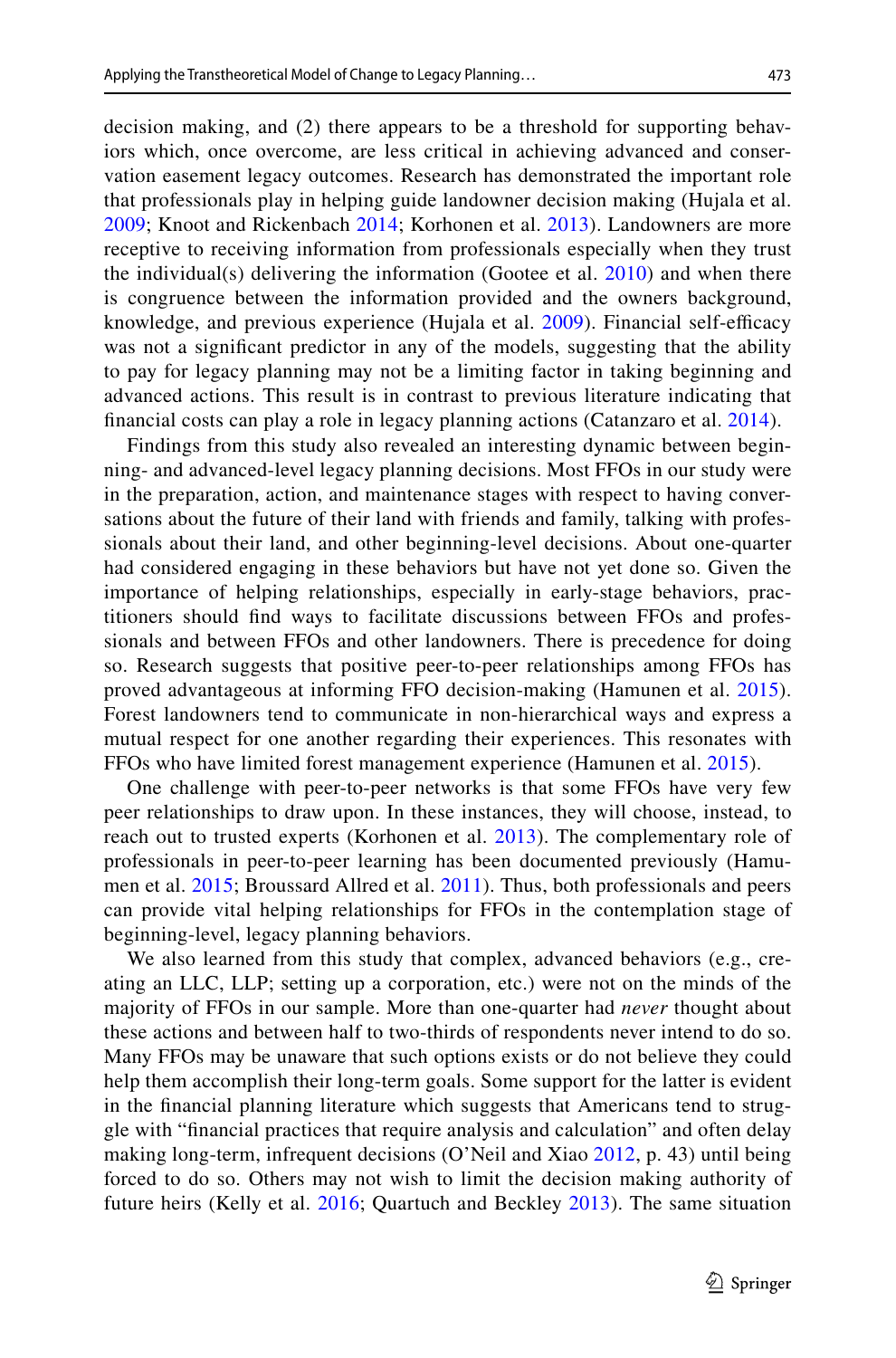decision making, and (2) there appears to be a threshold for supporting behaviors which, once overcome, are less critical in achieving advanced and conservation easement legacy outcomes. Research has demonstrated the important role that professionals play in helping guide landowner decision making (Hujala et al. [2009;](#page-20-18) Knoot and Rickenbach [2014](#page-20-19); Korhonen et al. [2013](#page-20-17)). Landowners are more receptive to receiving information from professionals especially when they trust the individual(s) delivering the information (Gootee et al.  $2010$ ) and when there is congruence between the information provided and the owners background, knowledge, and previous experience (Hujala et al. [2009\)](#page-20-18). Financial self-efficacy was not a signifcant predictor in any of the models, suggesting that the ability to pay for legacy planning may not be a limiting factor in taking beginning and advanced actions. This result is in contrast to previous literature indicating that fnancial costs can play a role in legacy planning actions (Catanzaro et al. [2014\)](#page-19-13).

Findings from this study also revealed an interesting dynamic between beginning- and advanced-level legacy planning decisions. Most FFOs in our study were in the preparation, action, and maintenance stages with respect to having conversations about the future of their land with friends and family, talking with professionals about their land, and other beginning-level decisions. About one-quarter had considered engaging in these behaviors but have not yet done so. Given the importance of helping relationships, especially in early-stage behaviors, practitioners should fnd ways to facilitate discussions between FFOs and professionals and between FFOs and other landowners. There is precedence for doing so. Research suggests that positive peer-to-peer relationships among FFOs has proved advantageous at informing FFO decision-making (Hamunen et al. [2015](#page-19-19)). Forest landowners tend to communicate in non-hierarchical ways and express a mutual respect for one another regarding their experiences. This resonates with FFOs who have limited forest management experience (Hamunen et al. [2015\)](#page-19-19).

One challenge with peer-to-peer networks is that some FFOs have very few peer relationships to draw upon. In these instances, they will choose, instead, to reach out to trusted experts (Korhonen et al. [2013](#page-20-17)). The complementary role of professionals in peer-to-peer learning has been documented previously (Hamumen et al. [2015;](#page-19-19) Broussard Allred et al. [2011\)](#page-19-20). Thus, both professionals and peers can provide vital helping relationships for FFOs in the contemplation stage of beginning-level, legacy planning behaviors.

We also learned from this study that complex, advanced behaviors (e.g., creating an LLC, LLP; setting up a corporation, etc.) were not on the minds of the majority of FFOs in our sample. More than one-quarter had *never* thought about these actions and between half to two-thirds of respondents never intend to do so. Many FFOs may be unaware that such options exists or do not believe they could help them accomplish their long-term goals. Some support for the latter is evident in the fnancial planning literature which suggests that Americans tend to struggle with "fnancial practices that require analysis and calculation" and often delay making long-term, infrequent decisions (O'Neil and Xiao [2012,](#page-20-14) p. 43) until being forced to do so. Others may not wish to limit the decision making authority of future heirs (Kelly et al. [2016](#page-20-11); Quartuch and Beckley [2013\)](#page-20-9). The same situation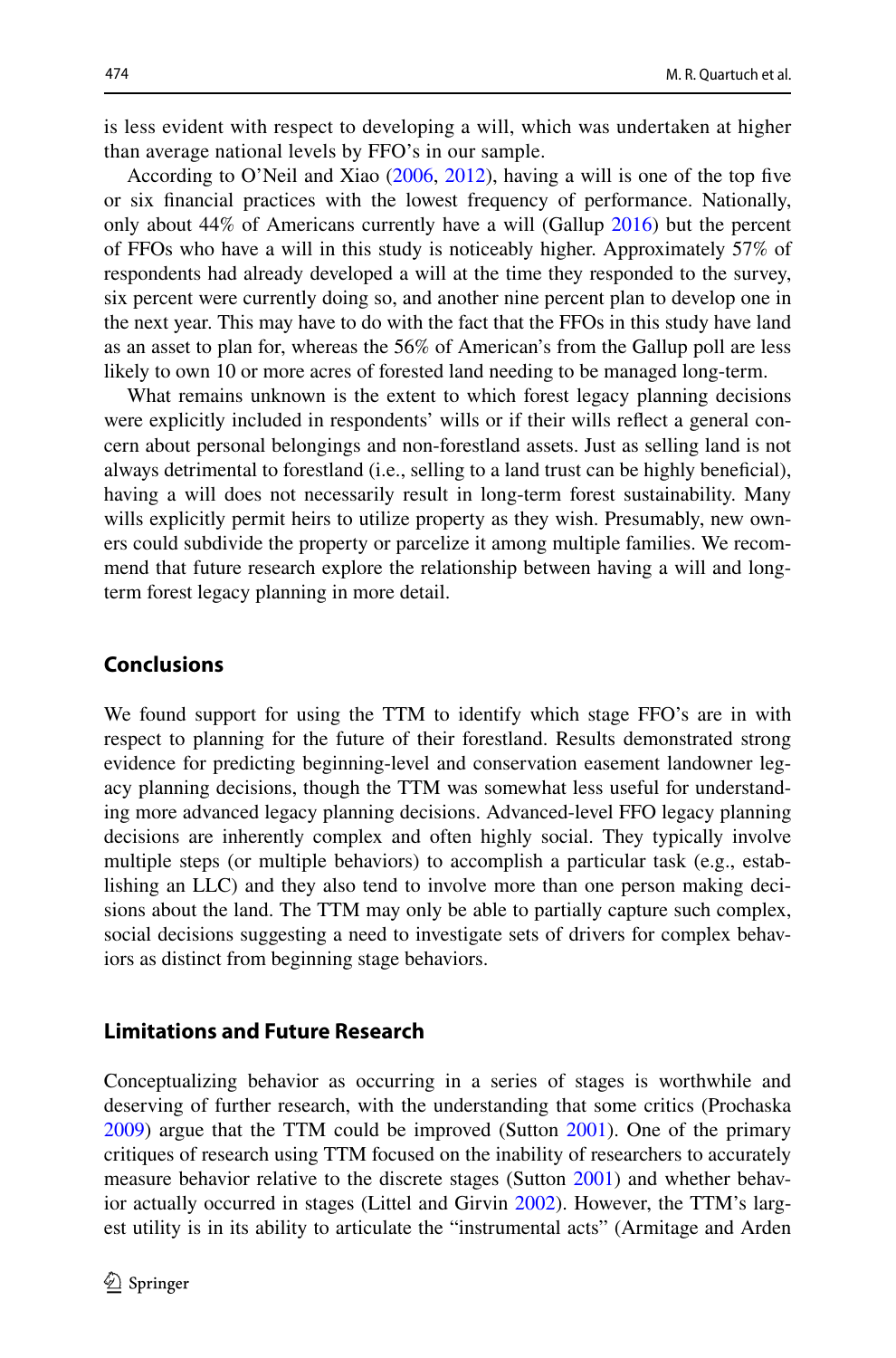is less evident with respect to developing a will, which was undertaken at higher than average national levels by FFO's in our sample.

According to O'Neil and Xiao ([2006,](#page-20-13) [2012](#page-20-14)), having a will is one of the top fve or six fnancial practices with the lowest frequency of performance. Nationally, only about 44% of Americans currently have a will (Gallup [2016](#page-19-21)) but the percent of FFOs who have a will in this study is noticeably higher. Approximately 57% of respondents had already developed a will at the time they responded to the survey, six percent were currently doing so, and another nine percent plan to develop one in the next year. This may have to do with the fact that the FFOs in this study have land as an asset to plan for, whereas the 56% of American's from the Gallup poll are less likely to own 10 or more acres of forested land needing to be managed long-term.

What remains unknown is the extent to which forest legacy planning decisions were explicitly included in respondents' wills or if their wills refect a general concern about personal belongings and non-forestland assets. Just as selling land is not always detrimental to forestland (i.e., selling to a land trust can be highly benefcial), having a will does not necessarily result in long-term forest sustainability. Many wills explicitly permit heirs to utilize property as they wish. Presumably, new owners could subdivide the property or parcelize it among multiple families. We recommend that future research explore the relationship between having a will and longterm forest legacy planning in more detail.

# **Conclusions**

We found support for using the TTM to identify which stage FFO's are in with respect to planning for the future of their forestland. Results demonstrated strong evidence for predicting beginning-level and conservation easement landowner legacy planning decisions, though the TTM was somewhat less useful for understanding more advanced legacy planning decisions. Advanced-level FFO legacy planning decisions are inherently complex and often highly social. They typically involve multiple steps (or multiple behaviors) to accomplish a particular task (e.g., establishing an LLC) and they also tend to involve more than one person making decisions about the land. The TTM may only be able to partially capture such complex, social decisions suggesting a need to investigate sets of drivers for complex behaviors as distinct from beginning stage behaviors.

#### **Limitations and Future Research**

Conceptualizing behavior as occurring in a series of stages is worthwhile and deserving of further research, with the understanding that some critics (Prochaska [2009](#page-20-20)) argue that the TTM could be improved (Sutton [2001\)](#page-21-3). One of the primary critiques of research using TTM focused on the inability of researchers to accurately measure behavior relative to the discrete stages (Sutton [2001](#page-21-3)) and whether behavior actually occurred in stages (Littel and Girvin [2002\)](#page-20-21). However, the TTM's largest utility is in its ability to articulate the "instrumental acts" (Armitage and Arden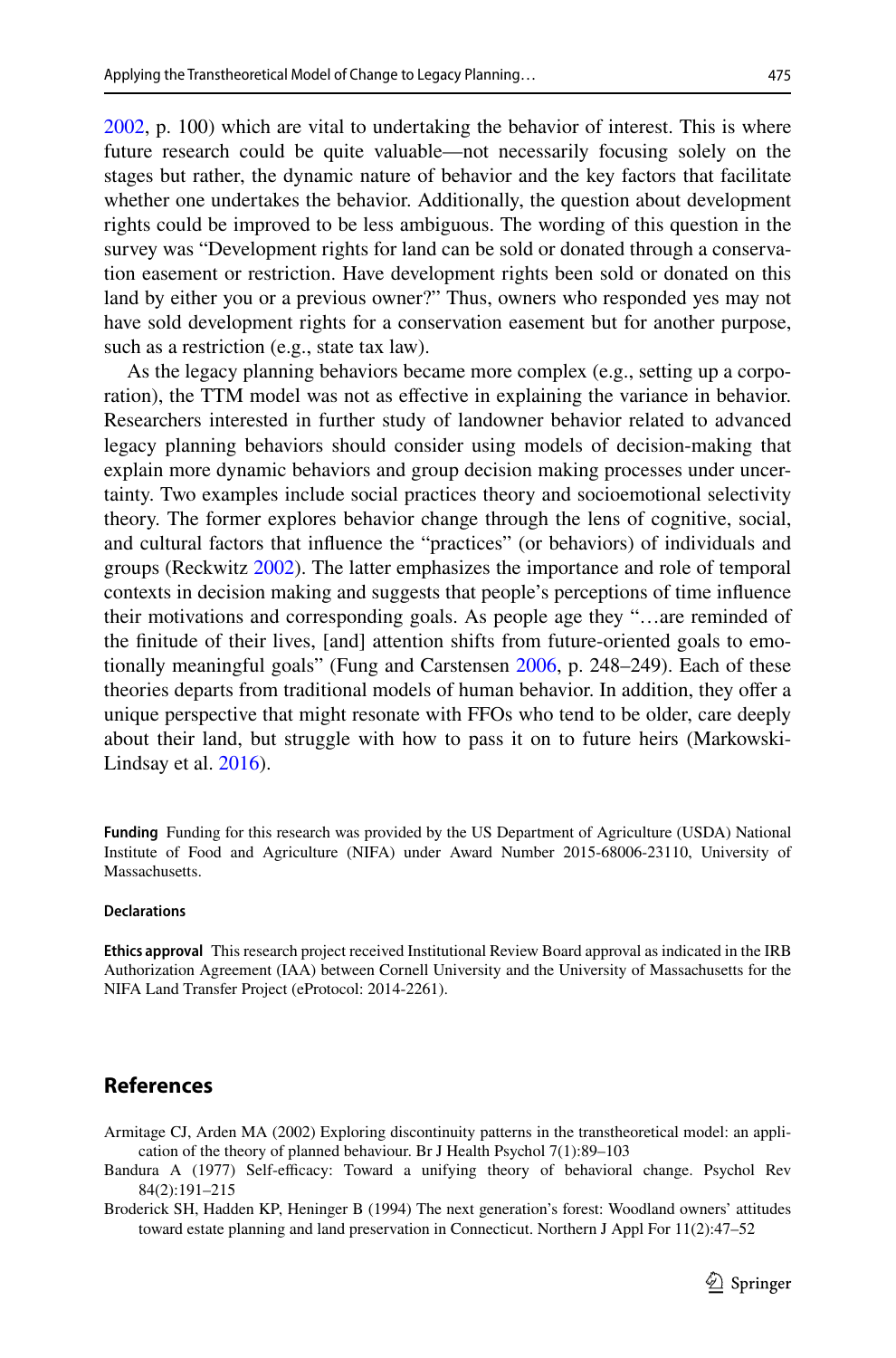[2002](#page-18-1), p. 100) which are vital to undertaking the behavior of interest. This is where future research could be quite valuable—not necessarily focusing solely on the stages but rather, the dynamic nature of behavior and the key factors that facilitate whether one undertakes the behavior. Additionally, the question about development rights could be improved to be less ambiguous. The wording of this question in the survey was "Development rights for land can be sold or donated through a conservation easement or restriction. Have development rights been sold or donated on this land by either you or a previous owner?" Thus, owners who responded yes may not have sold development rights for a conservation easement but for another purpose, such as a restriction (e.g., state tax law).

As the legacy planning behaviors became more complex (e.g., setting up a corporation), the TTM model was not as efective in explaining the variance in behavior. Researchers interested in further study of landowner behavior related to advanced legacy planning behaviors should consider using models of decision-making that explain more dynamic behaviors and group decision making processes under uncertainty. Two examples include social practices theory and socioemotional selectivity theory. The former explores behavior change through the lens of cognitive, social, and cultural factors that infuence the "practices" (or behaviors) of individuals and groups (Reckwitz [2002](#page-20-22)). The latter emphasizes the importance and role of temporal contexts in decision making and suggests that people's perceptions of time infuence their motivations and corresponding goals. As people age they "…are reminded of the fnitude of their lives, [and] attention shifts from future-oriented goals to emotionally meaningful goals" (Fung and Carstensen [2006](#page-19-22), p. 248–249). Each of these theories departs from traditional models of human behavior. In addition, they ofer a unique perspective that might resonate with FFOs who tend to be older, care deeply about their land, but struggle with how to pass it on to future heirs (Markowski-Lindsay et al. [2016](#page-20-12)).

**Funding** Funding for this research was provided by the US Department of Agriculture (USDA) National Institute of Food and Agriculture (NIFA) under Award Number 2015-68006-23110, University of Massachusetts.

#### **Declarations**

**Ethics approval** This research project received Institutional Review Board approval as indicated in the IRB Authorization Agreement (IAA) between Cornell University and the University of Massachusetts for the NIFA Land Transfer Project (eProtocol: 2014-2261).

# **References**

- <span id="page-18-1"></span>Armitage CJ, Arden MA (2002) Exploring discontinuity patterns in the transtheoretical model: an application of the theory of planned behaviour. Br J Health Psychol 7(1):89–103
- <span id="page-18-0"></span>Bandura A (1977) Self-efficacy: Toward a unifying theory of behavioral change. Psychol Rev 84(2):191–215
- <span id="page-18-2"></span>Broderick SH, Hadden KP, Heninger B (1994) The next generation's forest: Woodland owners' attitudes toward estate planning and land preservation in Connecticut. Northern J Appl For 11(2):47–52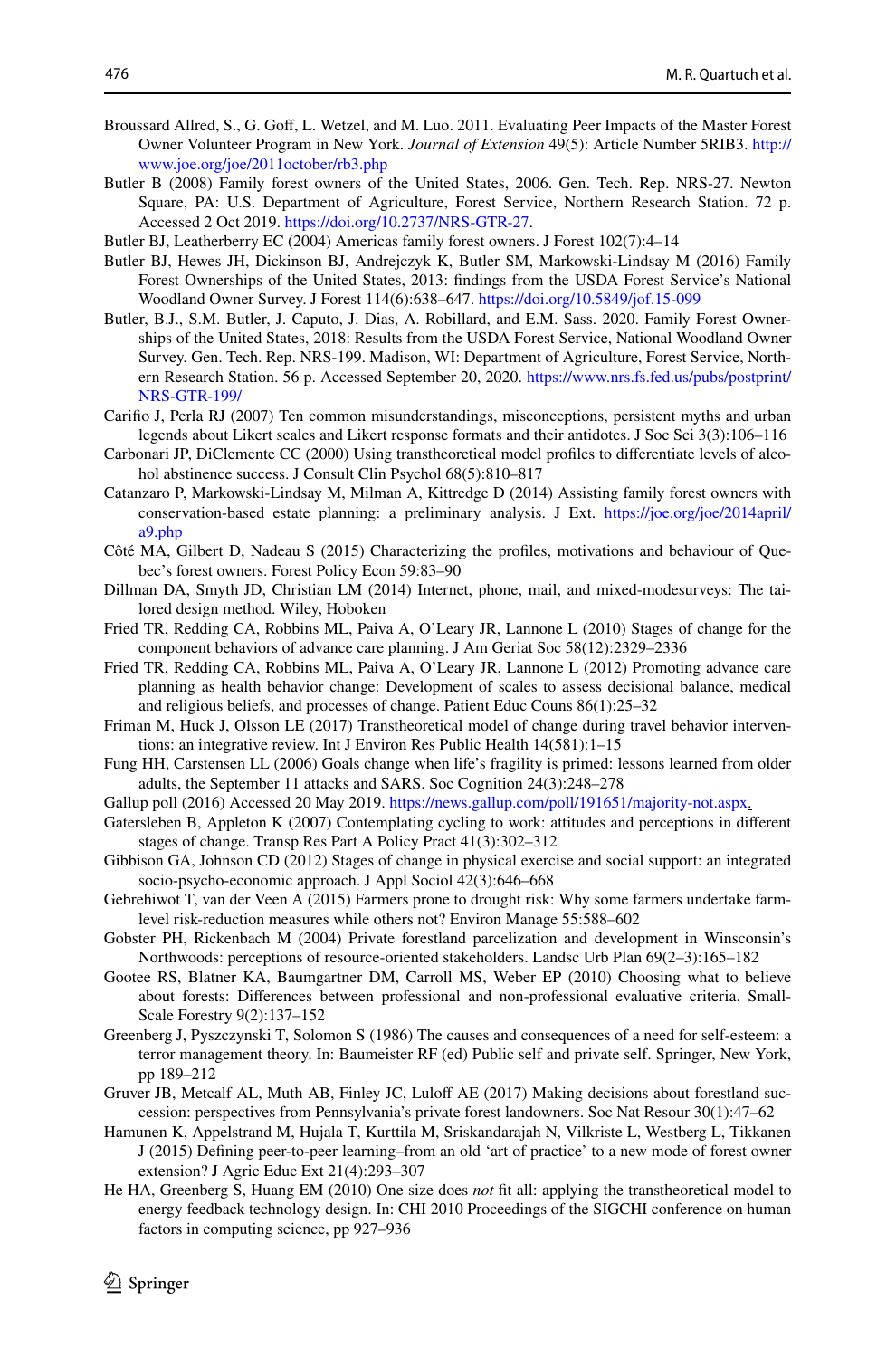- <span id="page-19-20"></span>Broussard Allred, S., G. Gof, L. Wetzel, and M. Luo. 2011. Evaluating Peer Impacts of the Master Forest Owner Volunteer Program in New York. *Journal of Extension* 49(5): Article Number 5RIB3. [http://](http://www.joe.org/joe/2011october/rb3.php) [www.joe.org/joe/2011october/rb3.php](http://www.joe.org/joe/2011october/rb3.php)
- <span id="page-19-15"></span>Butler B (2008) Family forest owners of the United States, 2006. Gen. Tech. Rep. NRS-27. Newton Square, PA: U.S. Department of Agriculture, Forest Service, Northern Research Station. 72 p. Accessed 2 Oct 2019. [https://doi.org/10.2737/NRS-GTR-27.](https://doi.org/10.2737/NRS-GTR-27)
- <span id="page-19-12"></span>Butler BJ, Leatherberry EC (2004) Americas family forest owners. J Forest 102(7):4–14
- <span id="page-19-14"></span>Butler BJ, Hewes JH, Dickinson BJ, Andrejczyk K, Butler SM, Markowski-Lindsay M (2016) Family Forest Ownerships of the United States, 2013: fndings from the USDA Forest Service's National Woodland Owner Survey. J Forest 114(6):638–647. <https://doi.org/10.5849/jof.15-099>
- <span id="page-19-0"></span>Butler, B.J., S.M. Butler, J. Caputo, J. Dias, A. Robillard, and E.M. Sass. 2020. Family Forest Ownerships of the United States, 2018: Results from the USDA Forest Service, National Woodland Owner Survey. Gen. Tech. Rep. NRS-199. Madison, WI: Department of Agriculture, Forest Service, Northern Research Station. 56 p. Accessed September 20, 2020. [https://www.nrs.fs.fed.us/pubs/postprint/](https://www.nrs.fs.fed.us/pubs/postprint/NRS-GTR-199/) [NRS-GTR-199/](https://www.nrs.fs.fed.us/pubs/postprint/NRS-GTR-199/)
- <span id="page-19-17"></span>Carifo J, Perla RJ (2007) Ten common misunderstandings, misconceptions, persistent myths and urban legends about Likert scales and Likert response formats and their antidotes. J Soc Sci 3(3):106–116
- <span id="page-19-3"></span>Carbonari JP, DiClemente CC (2000) Using transtheoretical model profles to diferentiate levels of alcohol abstinence success. J Consult Clin Psychol 68(5):810–817
- <span id="page-19-13"></span>Catanzaro P, Markowski-Lindsay M, Milman A, Kittredge D (2014) Assisting family forest owners with conservation-based estate planning: a preliminary analysis. J Ext. [https://joe.org/joe/2014april/](https://joe.org/joe/2014april/a9.php) [a9.php](https://joe.org/joe/2014april/a9.php)
- <span id="page-19-10"></span>Côté MA, Gilbert D, Nadeau S (2015) Characterizing the profles, motivations and behaviour of Quebec's forest owners. Forest Policy Econ 59:83–90
- <span id="page-19-16"></span>Dillman DA, Smyth JD, Christian LM (2014) Internet, phone, mail, and mixed-modesurveys: The tailored design method. Wiley, Hoboken
- <span id="page-19-8"></span>Fried TR, Redding CA, Robbins ML, Paiva A, O'Leary JR, Lannone L (2010) Stages of change for the component behaviors of advance care planning. J Am Geriat Soc 58(12):2329–2336
- <span id="page-19-6"></span>Fried TR, Redding CA, Robbins ML, Paiva A, O'Leary JR, Lannone L (2012) Promoting advance care planning as health behavior change: Development of scales to assess decisional balance, medical and religious beliefs, and processes of change. Patient Educ Couns 86(1):25–32
- Friman M, Huck J, Olsson LE (2017) Transtheoretical model of change during travel behavior interventions: an integrative review. Int J Environ Res Public Health 14(581):1–15
- <span id="page-19-22"></span>Fung HH, Carstensen LL (2006) Goals change when life's fragility is primed: lessons learned from older adults, the September 11 attacks and SARS. Soc Cognition 24(3):248–278
- <span id="page-19-21"></span>Gallup poll (2016) Accessed 20 May 2019. [https://news.gallup.com/poll/191651/majority-not.aspx.](https://news.gallup.com/poll/191651/majority-not.aspx)
- <span id="page-19-4"></span>Gatersleben B, Appleton K (2007) Contemplating cycling to work: attitudes and perceptions in diferent stages of change. Transp Res Part A Policy Pract 41(3):302–312
- <span id="page-19-7"></span>Gibbison GA, Johnson CD (2012) Stages of change in physical exercise and social support: an integrated socio-psycho-economic approach. J Appl Sociol 42(3):646–668
- <span id="page-19-9"></span>Gebrehiwot T, van der Veen A (2015) Farmers prone to drought risk: Why some farmers undertake farmlevel risk-reduction measures while others not? Environ Manage 55:588–602
- <span id="page-19-1"></span>Gobster PH, Rickenbach M (2004) Private forestland parcelization and development in Winsconsin's Northwoods: perceptions of resource-oriented stakeholders. Landsc Urb Plan 69(2–3):165–182
- <span id="page-19-18"></span>Gootee RS, Blatner KA, Baumgartner DM, Carroll MS, Weber EP (2010) Choosing what to believe about forests: Diferences between professional and non-professional evaluative criteria. Small-Scale Forestry 9(2):137–152
- <span id="page-19-2"></span>Greenberg J, Pyszczynski T, Solomon S (1986) The causes and consequences of a need for self-esteem: a terror management theory. In: Baumeister RF (ed) Public self and private self. Springer, New York, pp 189–212
- <span id="page-19-11"></span>Gruver JB, Metcalf AL, Muth AB, Finley JC, Luloff AE (2017) Making decisions about forestland succession: perspectives from Pennsylvania's private forest landowners. Soc Nat Resour 30(1):47–62
- <span id="page-19-19"></span>Hamunen K, Appelstrand M, Hujala T, Kurttila M, Sriskandarajah N, Vilkriste L, Westberg L, Tikkanen J (2015) Defning peer-to-peer learning–from an old 'art of practice' to a new mode of forest owner extension? J Agric Educ Ext 21(4):293–307
- <span id="page-19-5"></span>He HA, Greenberg S, Huang EM (2010) One size does *not* ft all: applying the transtheoretical model to energy feedback technology design. In: CHI 2010 Proceedings of the SIGCHI conference on human factors in computing science, pp 927–936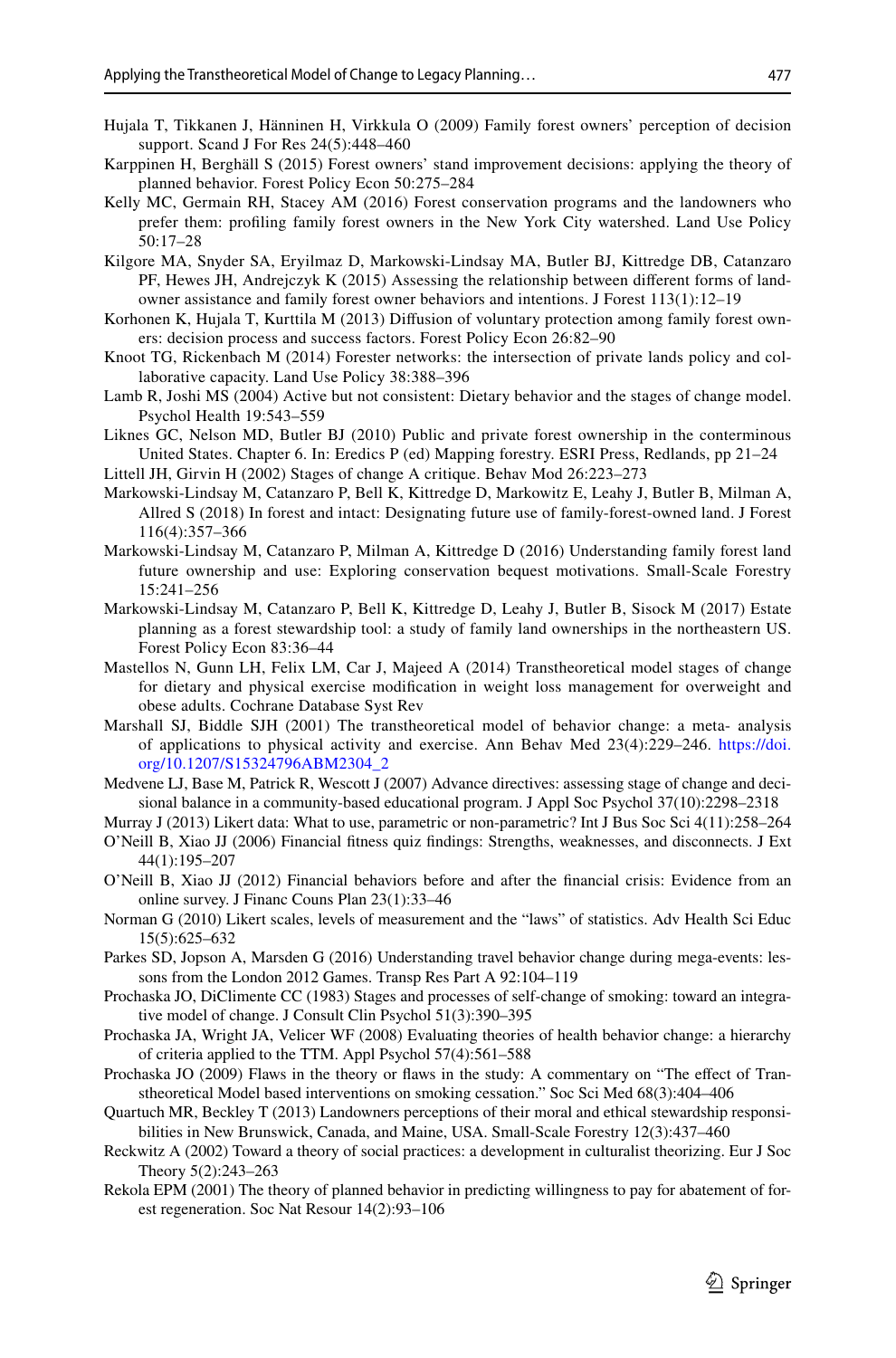- <span id="page-20-18"></span>Hujala T, Tikkanen J, Hänninen H, Virkkula O (2009) Family forest owners' perception of decision support. Scand J For Res 24(5):448–460
- Karppinen H, Berghäll S (2015) Forest owners' stand improvement decisions: applying the theory of planned behavior. Forest Policy Econ 50:275–284
- <span id="page-20-11"></span>Kelly MC, Germain RH, Stacey AM (2016) Forest conservation programs and the landowners who prefer them: profling family forest owners in the New York City watershed. Land Use Policy 50:17–28
- <span id="page-20-1"></span>Kilgore MA, Snyder SA, Eryilmaz D, Markowski-Lindsay MA, Butler BJ, Kittredge DB, Catanzaro PF, Hewes JH, Andrejczyk K (2015) Assessing the relationship between diferent forms of landowner assistance and family forest owner behaviors and intentions. J Forest 113(1):12–19
- <span id="page-20-17"></span>Korhonen K, Hujala T, Kurttila M (2013) Difusion of voluntary protection among family forest owners: decision process and success factors. Forest Policy Econ 26:82–90
- <span id="page-20-19"></span>Knoot TG, Rickenbach M (2014) Forester networks: the intersection of private lands policy and collaborative capacity. Land Use Policy 38:388–396
- <span id="page-20-6"></span>Lamb R, Joshi MS (2004) Active but not consistent: Dietary behavior and the stages of change model. Psychol Health 19:543–559
- <span id="page-20-0"></span>Liknes GC, Nelson MD, Butler BJ (2010) Public and private forest ownership in the conterminous United States. Chapter 6. In: Eredics P (ed) Mapping forestry. ESRI Press, Redlands, pp 21–24
- <span id="page-20-21"></span>Littell JH, Girvin H (2002) Stages of change A critique. Behav Mod 26:223–273
- <span id="page-20-10"></span>Markowski-Lindsay M, Catanzaro P, Bell K, Kittredge D, Markowitz E, Leahy J, Butler B, Milman A, Allred S (2018) In forest and intact: Designating future use of family-forest-owned land. J Forest 116(4):357–366
- <span id="page-20-12"></span>Markowski-Lindsay M, Catanzaro P, Milman A, Kittredge D (2016) Understanding family forest land future ownership and use: Exploring conservation bequest motivations. Small-Scale Forestry 15:241–256
- <span id="page-20-2"></span>Markowski-Lindsay M, Catanzaro P, Bell K, Kittredge D, Leahy J, Butler B, Sisock M (2017) Estate planning as a forest stewardship tool: a study of family land ownerships in the northeastern US. Forest Policy Econ 83:36–44
- <span id="page-20-4"></span>Mastellos N, Gunn LH, Felix LM, Car J, Majeed A (2014) Transtheoretical model stages of change for dietary and physical exercise modifcation in weight loss management for overweight and obese adults. Cochrane Database Syst Rev
- Marshall SJ, Biddle SJH (2001) The transtheoretical model of behavior change: a meta- analysis of applications to physical activity and exercise. Ann Behav Med 23(4):229–246. [https://doi.](https://doi.org/10.1207/S15324796ABM2304_2) [org/10.1207/S15324796ABM2304\\_2](https://doi.org/10.1207/S15324796ABM2304_2)
- <span id="page-20-7"></span>Medvene LJ, Base M, Patrick R, Wescott J (2007) Advance directives: assessing stage of change and decisional balance in a community-based educational program. J Appl Soc Psychol 37(10):2298–2318

<span id="page-20-16"></span>Murray J (2013) Likert data: What to use, parametric or non-parametric? Int J Bus Soc Sci 4(11):258–264

- <span id="page-20-13"></span>O'Neill B, Xiao JJ (2006) Financial ftness quiz fndings: Strengths, weaknesses, and disconnects. J Ext 44(1):195–207
- <span id="page-20-14"></span>O'Neill B, Xiao JJ (2012) Financial behaviors before and after the fnancial crisis: Evidence from an online survey. J Financ Couns Plan 23(1):33–46
- <span id="page-20-15"></span>Norman G (2010) Likert scales, levels of measurement and the "laws" of statistics. Adv Health Sci Educ 15(5):625–632
- <span id="page-20-5"></span>Parkes SD, Jopson A, Marsden G (2016) Understanding travel behavior change during mega-events: lessons from the London 2012 Games. Transp Res Part A 92:104–119
- <span id="page-20-3"></span>Prochaska JO, DiClimente CC (1983) Stages and processes of self-change of smoking: toward an integrative model of change. J Consult Clin Psychol 51(3):390–395
- <span id="page-20-8"></span>Prochaska JA, Wright JA, Velicer WF (2008) Evaluating theories of health behavior change: a hierarchy of criteria applied to the TTM. Appl Psychol 57(4):561–588
- <span id="page-20-20"></span>Prochaska JO (2009) Flaws in the theory or faws in the study: A commentary on "The efect of Transtheoretical Model based interventions on smoking cessation." Soc Sci Med 68(3):404–406
- <span id="page-20-9"></span>Quartuch MR, Beckley T (2013) Landowners perceptions of their moral and ethical stewardship responsibilities in New Brunswick, Canada, and Maine, USA. Small-Scale Forestry 12(3):437–460
- <span id="page-20-22"></span>Reckwitz A (2002) Toward a theory of social practices: a development in culturalist theorizing. Eur J Soc Theory 5(2):243–263
- Rekola EPM (2001) The theory of planned behavior in predicting willingness to pay for abatement of forest regeneration. Soc Nat Resour 14(2):93–106